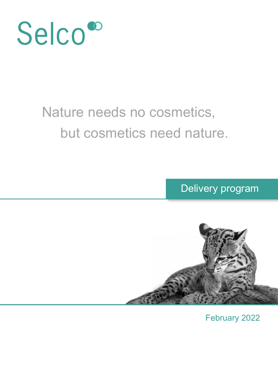

### Nature needs no cosmetics, but cosmetics need nature.

Delivery program



February 2022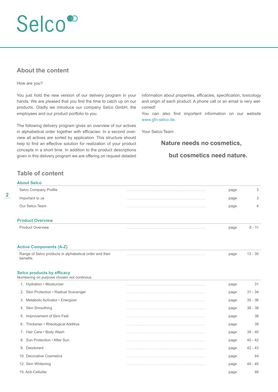#### **About the content**

#### How are you?

You just hold the new version of our delivery program in your hands. We are pleased that you find the time to catch up on our products. Gladly we introduce our company Selco GmbH, the employees and our product portfolio to you.

The following delivery program gives an overview of our actives in alphabetical order together with efficacies. In a second overview all actives are sorted by application. This structure should help to find an effective solution for realization of your product concepts in a short time. In addition to the product descriptions given in this delivery program we are offering on request detailed

information about properties, efficacies, specification, toxicology and origin of each product. A phone call or an email is very welcomed!

You can also find important information on our website www.gfn-selco.de.

Your Selco-Team

#### **Nature needs no cosmetics,**

#### **but cosmetics need nature.**

#### **Table of content**

| <b>About Selco</b>                                                             |      |           |
|--------------------------------------------------------------------------------|------|-----------|
| Selco Company Profile                                                          | page | 3         |
| Important to us                                                                | page | 3         |
| Our Selco-Team                                                                 | page | 4         |
| <b>Product Overview</b>                                                        |      |           |
| <b>Product Overview</b>                                                        | page | $5 - 11$  |
| <b>Active Components (A-Z)</b>                                                 |      |           |
| Range of Selco products in alphabetical order and their<br>benefits            | page | $12 - 30$ |
| <b>Selco products by efficacy</b><br>Numbering on purpose chosen not continous |      |           |
| 1. Hydration . Moisturizer                                                     | page | 31        |
| 2. Skin Protection . Radical Scavenger                                         | page | $31 - 34$ |
| 3. Metabolic Activator · Energizer                                             | page | $35 - 36$ |
| 4. Skin Smoothing                                                              | page | $36 - 38$ |
| 5. Improvement of Skin Feel                                                    | page | 38        |
| 6. Thickener • Rheological Additive                                            | page | 39        |
| 7. Hair Care . Body Wash                                                       | page | $39 - 40$ |
| 8. Sun Protection . After Sun                                                  | page | $40 - 42$ |
| 9. Deodorant                                                                   | page | $42 - 43$ |
| 10. Decorative Cosmetics                                                       | page | 44        |
| 12. Skin Whitening                                                             | page | $44 - 45$ |
| 15. Anti-Cellulite                                                             | page | 46        |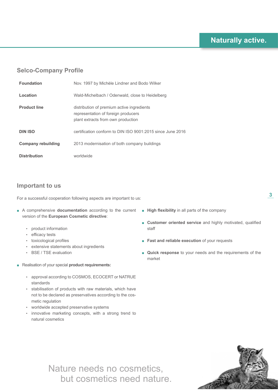#### **Selco-Company Profile**

| <b>Foundation</b>         | Nov. 1997 by Michèle Lindner and Bodo Wilker                                                                            |
|---------------------------|-------------------------------------------------------------------------------------------------------------------------|
| Location                  | Wald-Michelbach / Odenwald, close to Heidelberg                                                                         |
| <b>Product line</b>       | distribution of premium active ingredients<br>representation of foreign producers<br>plant extracts from own production |
| <b>DIN ISO</b>            | certification conform to DIN ISO 9001:2015 since June 2016                                                              |
| <b>Company rebuilding</b> | 2013 modernisation of both company buildings                                                                            |
| <b>Distribution</b>       | worldwide                                                                                                               |

#### **Important to us**

For a successful cooperation following aspects are important to us:

- A comprehensive **documentation** according to the current version of the **European Cosmetic directive**:
	- product information
	- efficacy tests
	- toxicological profiles
	- extensive statements about ingredients
	- BSE / TSE evaluation
- **■** Realisation of your special **product requirements:**
	- approval according to COSMOS, ECOCERT or NATRUE standards
	- stabilisation of products with raw materials, which have not to be declared as preservatives according to the cosmetic regulation
	- worldwide accepted preservative systems
	- innovative marketing concepts, with a strong trend to natural cosmetics
- **■ High flexibility** in all parts of the company
- **■ Customer oriented service** and highly motivated, qualified staff
- **Fast and reliable execution** of your requests
- **Quick response** to your needs and the requirements of the market





**3**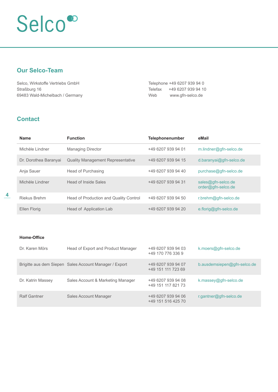#### **Our Selco-Team**

Selco, Wirkstoffe Vertriebs GmbH Straßburg 16 69483 Wald-Michelbach / Germany Telephone +49 6207 939 94 0 Telefax +49 6207 939 94 10 Web www.gfn-selco.de

#### **Contact**

| <b>Name</b>           | <b>Function</b>                          | <b>Telephonenumber</b> | eMail                                      |
|-----------------------|------------------------------------------|------------------------|--------------------------------------------|
| Michèle I indner      | <b>Managing Director</b>                 | +49 6207 939 94 01     | $m$ .lindner@gfn-selco.de                  |
| Dr. Dorothea Baranyai | <b>Quality Management Representative</b> | +49 6207 939 94 15     | d.baranyai@gfn-selco.de                    |
| Anja Sauer            | Head of Purchasing                       | +49 6207 939 94 40     | purchase@gfn-selco.de                      |
| Michèle I indner      | Head of Inside Sales                     | +49 6207 939 94 31     | $sales@qfn-selco.de$<br>order@gfn-selco.de |
| Riekus Brehm          | Head of Production and Quality Control   | +49 6207 939 94 50     | r.brehm@gfn-selco.de                       |
| <b>Ellen Florig</b>   | Head of Application Lab                  | +49 6207 939 94 20     | $e.floriq@qfn-selco.de$                    |

#### **Home-Office**

| Dr. Karen Mörs      | Head of Export and Product Manager                     | +49 6207 939 94 03<br>+49 170 776 336 9  | k.moers@gfn-selco.de        |
|---------------------|--------------------------------------------------------|------------------------------------------|-----------------------------|
|                     | Brigitte aus dem Siepen Sales Account Manager / Export | +49 6207 939 94 07<br>+49 151 111 723 69 | b.ausdemsiepen@gfn-selco.de |
| Dr. Katrin Massey   | Sales Account & Marketing Manager                      | +49 6207 939 94 08<br>+49 151 117 821 73 | k.massey@gfn-selco.de       |
| <b>Ralf Gantner</b> | Sales Account Manager                                  | +49 6207 939 94 06<br>+49 151 516 425 70 | r.gantner@gfn-selco.de      |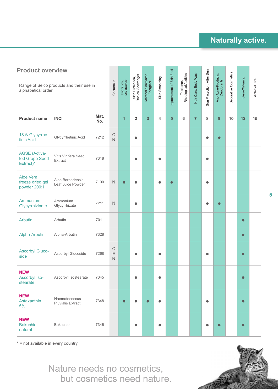| <b>Product overview</b>                             |                                           |             |                                           |                           |                                       |                                   |                |                          |                                    |                      |                           |                                   |                      |                |                |
|-----------------------------------------------------|-------------------------------------------|-------------|-------------------------------------------|---------------------------|---------------------------------------|-----------------------------------|----------------|--------------------------|------------------------------------|----------------------|---------------------------|-----------------------------------|----------------------|----------------|----------------|
| alphabetical order                                  | Range of Selco products and their use in  |             | Conform to                                | Hydration,<br>Moisturzier | Skin Protection,<br>Radical Scavenger | Metabolic Acitvator,<br>Energizer | Skin Smoothing | Improvement of Skin Feel | Thickener,<br>Rheological Additive | Hair Care, Body Wash | Sun Protection, After Sun | Anti-Acne-Products,<br>Deodorants | Decorative Cosmetics | Skin-Whitening | Anti-Cellulite |
| <b>Product name</b>                                 | <b>INCI</b>                               | Mat.<br>No. |                                           | $\mathbf{1}$              | $\overline{\mathbf{2}}$               | 3                                 | 4              | $5\phantom{1}$           | 6                                  | 7                    | 8                         | 9                                 | 10                   | 12             | 15             |
| 18-ß-Glycyrrhe-<br>tinic Acid                       | Glycyrrhetinic Acid                       | 7212        | $\mathsf C$<br>$\overline{N}$             |                           | O                                     |                                   |                |                          |                                    |                      |                           | $\bullet$                         |                      |                |                |
| <b>AGSE (Activa-</b><br>ted Grape Seed<br>Extract)* | Vitis Vinifera Seed<br>Extract            | 7318        |                                           |                           |                                       |                                   |                |                          |                                    |                      |                           |                                   |                      |                |                |
| Aloe Vera<br>freeze dried gel<br>powder 200:1       | Aloe Barbadensis<br>Leaf Juice Powder     | 7100        | $\mathsf{N}$                              | $\bullet$                 | O                                     |                                   | O              | $\bullet$                |                                    |                      | 0                         |                                   |                      |                |                |
| Ammonium<br>Glycyrrhizinate                         | Ammonium<br>Glycyrrhizate                 | 7211        | $\mathsf{N}$                              |                           |                                       |                                   |                |                          |                                    |                      |                           |                                   |                      |                |                |
| <b>Arbutin</b>                                      | Arbutin                                   | 7011        |                                           |                           |                                       |                                   |                |                          |                                    |                      |                           |                                   |                      | $\bullet$      |                |
| Alpha-Arbutin                                       | Alpha-Arbutin                             | 7328        |                                           |                           |                                       |                                   |                |                          |                                    |                      |                           |                                   |                      | $\bullet$      |                |
| <b>Ascorbyl Gluco-</b><br>side                      | Ascorbyl Glucoside                        | 7268        | $\mathsf C$<br>$\mathsf E$<br>$\mathbb N$ |                           |                                       |                                   |                |                          |                                    |                      |                           |                                   |                      | $\bullet$      |                |
| <b>NEW</b><br>Ascorbyl Iso-<br>stearate             | Ascorbyl Isostearate                      | 7345        |                                           |                           | O                                     |                                   | $\bullet$      |                          |                                    |                      |                           |                                   |                      | $\bullet$      |                |
| <b>NEW</b><br>Astaxanthin<br>5% L                   | Haematococcus<br><b>Pluvialis Extract</b> | 7348        |                                           | $\bullet$                 |                                       |                                   | Ω              |                          |                                    |                      | $\bullet$                 |                                   |                      | $\bullet$      |                |
| <b>NEW</b><br><b>Bakuchiol</b><br>natural           | Bakuchiol                                 | 7346        |                                           |                           | $\bullet$                             |                                   | $\bullet$      |                          |                                    |                      | 0                         | $\bullet$                         |                      | $\bullet$      |                |

\* = not available in every country

Nature needs no cosmetics, but cosmetics need nature.



**5**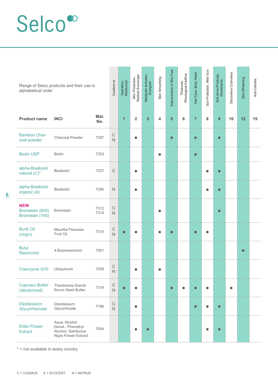| alphabetical order                               | Range of Selco products and their use in                                        |              | Conform to                             | Hydration,<br>Moisturzier | Skin Protection,<br>Radical Scavenger | Metabolic Acitvator,<br>Energizer | Skin Smoothing | Improvement of Skin Feel | Thickener,<br>Rheological Additive | Hair Care, Body Wash | Sun Protection, After Sun | Anti-Acne-Products,<br>Deodorants | Decorative Cosmetics | Skin-Whitening | Anti-Cellulite |
|--------------------------------------------------|---------------------------------------------------------------------------------|--------------|----------------------------------------|---------------------------|---------------------------------------|-----------------------------------|----------------|--------------------------|------------------------------------|----------------------|---------------------------|-----------------------------------|----------------------|----------------|----------------|
| <b>Product name</b>                              | <b>INCI</b>                                                                     | Mat.<br>No.  |                                        | 1                         | $\overline{2}$                        | $\overline{\mathbf{3}}$           | 4              | $5\phantom{1}$           | 6                                  | $\overline{7}$       | 8                         | 9                                 | 10                   | 12             | 15             |
| <b>Bamboo Char-</b><br>coal powder               | Charcoal Powder                                                                 | 7287         | $\mathsf C$<br>$\overline{N}$          |                           | $\bullet$                             |                                   |                | $\bullet$                |                                    | $\bullet$            |                           | $\bullet$                         |                      |                |                |
| <b>Biotin USP</b>                                | <b>Biotin</b>                                                                   | 7253         |                                        |                           |                                       |                                   | $\bullet$      |                          |                                    | $\bullet$            |                           |                                   |                      |                |                |
| alpha-Bisabolol<br>natural (C)*                  | Bisabolol                                                                       | 7237         | $\mathsf C$                            |                           | $\bullet$                             |                                   |                |                          |                                    |                      |                           | г                                 |                      |                |                |
| alpha-Bisabolol<br>organic (A)                   | Bisabolol                                                                       | 7290         | $\mathsf N$                            |                           | $\bullet$                             |                                   |                |                          |                                    |                      |                           |                                   |                      |                |                |
| <b>NEW</b><br>Bromelain (600)<br>Bromelain (100) | <b>Bromelain</b>                                                                | 7312<br>7314 | $\mathsf C$<br>$\mathsf{N}$            |                           |                                       |                                   | ٠              |                          |                                    |                      |                           | $\bullet$                         |                      |                |                |
| <b>Buriti Oil</b><br>(virgin)                    | Mauritia Flexuosa<br>Fruit Oil                                                  | 7315         | $\mathsf C$<br>$\overline{N}$          |                           |                                       |                                   |                |                          |                                    | $\bullet$            |                           |                                   |                      |                |                |
| <b>Butyl</b><br><b>Resorcinol</b>                | 4-Butylresorcinol                                                               | 7261         |                                        |                           |                                       |                                   |                |                          |                                    |                      |                           |                                   |                      | $\bullet$      |                |
| Coenzyme Q10                                     | Ubiquinone                                                                      | 7258         | $\mathsf C$<br>$\overline{\mathsf{N}}$ |                           |                                       |                                   | Ο              |                          |                                    |                      |                           |                                   |                      |                |                |
| <b>Cupuacu Butter</b><br>(deodorized)            | Theobroma Grandi-<br>florum Seed Butter                                         | 7316         | $\mathsf C$<br>$\overline{N}$          |                           |                                       |                                   |                | $\blacksquare$           |                                    | $\blacksquare$       |                           |                                   | $\bullet$            |                |                |
| Dipotassium<br>Glycyrrhizinate                   | Dipotassium<br>Glycyrrhizate                                                    | 7196         | $\mathsf C$<br>$\mathsf{N}$            |                           | $\bullet$                             |                                   |                |                          |                                    | $\bullet$            |                           | $\bullet$                         |                      |                |                |
| <b>Elder Flower</b><br><b>Extract</b>            | Aqua, Alcohol<br>Denat., Phenethyl<br>Alcohol, Sambucus<br>Nigra Flower Extract | 7004         |                                        |                           |                                       | $\bullet$                         |                |                          |                                    |                      |                           |                                   |                      |                |                |

\* = not available in every country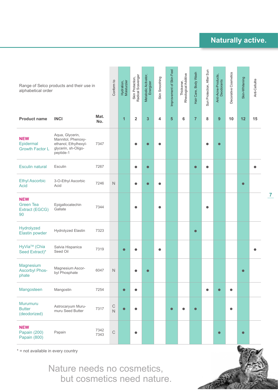| alphabetical order                                     | Range of Selco products and their use in                                                          |              | Conform to    | Hydration,<br>Moisturzier | Skin Protection,<br>Radical Scavenger | Metabolic Acitvator,<br>Energizer | Skin Smoothing | Improvement of Skin Feel | Thickener,<br>Rheological Additive | Hair Care, Body Wash | Sun Protection, After Sun | Anti-Acne-Products,<br>Deodorants | Decorative Cosmetics | Skin-Whitening | Anti-Cellulite |
|--------------------------------------------------------|---------------------------------------------------------------------------------------------------|--------------|---------------|---------------------------|---------------------------------------|-----------------------------------|----------------|--------------------------|------------------------------------|----------------------|---------------------------|-----------------------------------|----------------------|----------------|----------------|
| <b>Product name</b>                                    | <b>INCI</b>                                                                                       | Mat.<br>No.  |               | $\mathbf{1}$              | $\overline{\mathbf{2}}$               | 3                                 | 4              | 5                        | 6                                  | $\overline{7}$       | 8                         | 9                                 | 10                   | 12             | 15             |
| <b>NEW</b><br>Epidermal<br><b>Growth Factor L</b>      | Aqua, Glycerin,<br>Mannitol, Phenoxy-<br>ethanol, Ethylhexyl-<br>glycerin, sh-Oligo-<br>peptide-1 | 7347         |               |                           |                                       |                                   |                |                          |                                    |                      |                           | $\bullet$                         |                      |                |                |
| <b>Esculin natural</b>                                 | Esculin                                                                                           | 7267         |               |                           | $\bullet$                             | $\bullet$                         |                |                          |                                    | $\bullet$            | $\bullet$                 |                                   |                      |                |                |
| <b>Ethyl Ascorbic</b><br><b>Acid</b>                   | 3-O-Ethyl Ascorbic<br>Acid                                                                        | 7246         | $\hbox{N}$    |                           | $\bullet$                             | г                                 |                |                          |                                    |                      |                           |                                   |                      | $\bullet$      |                |
| <b>NEW</b><br><b>Green Tea</b><br>Extract (EGCG)<br>90 | Epigallocatechin<br>Gallate                                                                       | 7344         |               |                           |                                       |                                   | 0              |                          |                                    |                      |                           |                                   |                      |                |                |
| Hydrolyzed<br><b>Elastin powder</b>                    | Hydrolyzed Elastin                                                                                | 7323         |               |                           |                                       |                                   |                |                          |                                    | $\bullet$            |                           |                                   |                      |                |                |
| HyVia <sup>™</sup> (Chia<br>Seed Extract)*             | Salvia Hispanica<br>Seed Oil                                                                      | 7319         |               | $\bullet$                 |                                       |                                   |                |                          |                                    |                      |                           |                                   |                      |                |                |
| Magnesium<br><b>Ascorbyl Phos-</b><br>phate            | Magnesium Ascor-<br>byl Phosphate                                                                 | 6047         | $\hbox{N}$    |                           |                                       |                                   |                |                          |                                    |                      |                           |                                   |                      | $\bullet$      |                |
| Mangosteen                                             | Mangostin                                                                                         | 7254         |               | $\bullet$                 | $\bullet$                             |                                   |                |                          |                                    |                      | $\bullet$                 | $\bullet$                         | $\bullet$            |                |                |
| <b>Murumuru</b><br><b>Butter</b><br>(deodorized)       | Astrocaryum Muru-<br>muru Seed Butter                                                             | 7317         | $\frac{C}{N}$ | $\bullet$                 |                                       |                                   |                |                          |                                    |                      |                           |                                   | $\bullet$            |                |                |
| <b>NEW</b><br><b>Papain (200)</b><br>Papain (800)      | Papain                                                                                            | 7342<br>7343 | $\mathsf C$   |                           |                                       |                                   |                |                          |                                    |                      |                           | $\bullet$                         |                      | $\bullet$      |                |

\* = not available in every country

Nature needs no cosmetics, but cosmetics need nature.



**7**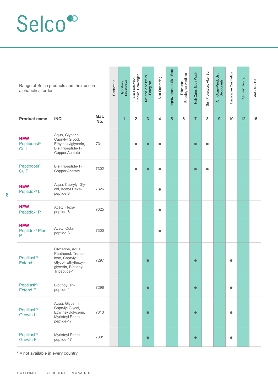| alphabetical order                            | Range of Selco products and their use in                                                                              |             | Conform to | Hydration,<br>Moisturzier | Skin Protection,<br>Radical Scavenger | Metabolic Acitvator,<br>Energizer | Skin Smoothing | Improvement of Skin Feel | Thickener,<br>Rheological Additive | Hair Care, Body Wash | Sun Protection, After Sun | Anti-Acne-Products,<br>Deodorants | Decorative Cosmetics | Skin-Whitening | Anti-Cellulite |
|-----------------------------------------------|-----------------------------------------------------------------------------------------------------------------------|-------------|------------|---------------------------|---------------------------------------|-----------------------------------|----------------|--------------------------|------------------------------------|----------------------|---------------------------|-----------------------------------|----------------------|----------------|----------------|
| <b>Product name</b>                           | <b>INCI</b>                                                                                                           | Mat.<br>No. |            | $\overline{\mathbf{1}}$   | $\mathbf 2$                           | 3                                 | 4              | 5                        | 6                                  | $\overline{7}$       | 8                         | $\boldsymbol{9}$                  | 10                   | 12             | 15             |
| <b>NEW</b><br>Peptiboost <sup>®</sup><br>Cu L | Aqua, Glycerin,<br>Caprylyl Glycol,<br>Ethylhexylglycerin,<br>Bis(Tripeptide-1)<br>Copper Acetate                     | 7311        |            |                           | $\bullet$                             |                                   |                |                          |                                    | $\bullet$            |                           |                                   |                      |                |                |
| Peptiboost <sup>®</sup><br>Cu <sub>P</sub>    | Bis(Tripeptide-1)<br>Copper Acetate                                                                                   | 7302        |            |                           | $\bullet$                             | $\bullet$                         | $\bullet$      |                          |                                    | $\bullet$            |                           |                                   |                      |                |                |
| <b>NEW</b><br>Peptidox <sup>®</sup> L         | Aqua, Caprylyl Gly-<br>col, Acetyl Hexa-<br>peptide-8                                                                 | 7326        |            |                           |                                       |                                   | $\bullet$      |                          |                                    |                      |                           |                                   |                      |                |                |
| <b>NEW</b><br>Peptidox <sup>®</sup> P         | Acetyl Hexa-<br>peptide-8                                                                                             | 7325        |            |                           |                                       |                                   | O              |                          |                                    |                      |                           |                                   |                      |                |                |
| <b>NEW</b><br>Peptidox <sup>®</sup> Plus<br>P | Acetyl Octa-<br>peptide-3                                                                                             | 7300        |            |                           |                                       |                                   | $\bullet$      |                          |                                    |                      |                           |                                   |                      |                |                |
| <b>Peptilash®</b><br><b>Extend L</b>          | Glycerine, Aqua,<br>Panthenol, Treha-<br>lose, Caprylyl<br>Glycol, Ethylhexyl-<br>glycerin, Biotinoyl<br>Tripeptide-1 | 7297        |            |                           |                                       | $\bullet$                         |                |                          |                                    | $\bullet$            |                           |                                   |                      |                |                |
| Peptilash®<br><b>Extend P</b>                 | <b>Biotinoyl Tri-</b><br>peptide-1                                                                                    | 7296        |            |                           |                                       | $\bullet$                         |                |                          |                                    | $\bullet$            |                           |                                   | $\bullet$            |                |                |
| Peptilash®<br><b>Growth L</b>                 | Aqua, Glycerin,<br>Caprylyl Glycol,<br>Ethylhexylglycerin,<br>Myristoyl Penta-<br>peptide-17                          | 7313        |            |                           |                                       | $\bullet$                         |                |                          |                                    | $\bullet$            |                           |                                   | $\bullet$            |                |                |
| Peptilash®<br><b>Growth P</b>                 | Myristoyl Penta-<br>peptide-17                                                                                        | 7301        |            |                           |                                       | $\bullet$                         |                |                          |                                    | $\bullet$            |                           |                                   | $\bullet$            |                |                |

\* = not available in every country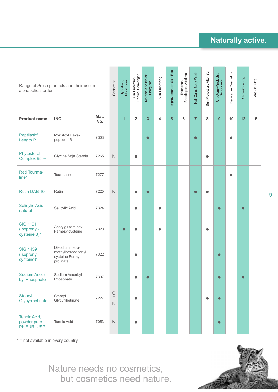**9**

| alphabetical order                             | Range of Selco products and their use in                               |             | Conform to                                 | Hydration,<br>Moisturzier | Skin Protection,<br>Radical Scavenger | Metabolic Acitvator,<br>Energizer | Skin Smoothing | Improvement of Skin Feel | Thickener,<br>Rheological Additive | Hair Care, Body Wash | Sun Protection, After Sun | Anti-Acne-Products,<br>Deodorants | Decorative Cosmetics | Skin-Whitening | Anti-Cellulite |
|------------------------------------------------|------------------------------------------------------------------------|-------------|--------------------------------------------|---------------------------|---------------------------------------|-----------------------------------|----------------|--------------------------|------------------------------------|----------------------|---------------------------|-----------------------------------|----------------------|----------------|----------------|
| <b>Product name</b>                            | <b>INCI</b>                                                            | Mat.<br>No. |                                            | $\overline{1}$            | $\overline{2}$                        | 3                                 | 4              | $\overline{\mathbf{5}}$  | 6                                  | $\overline{7}$       | 8                         | 9                                 | 10                   | 12             | 15             |
| <b>Peptilash®</b><br>Length P                  | Myristoyl Hexa-<br>peptide-16                                          | 7303        |                                            |                           |                                       | $\bullet$                         |                |                          |                                    | $\bullet$            |                           |                                   | C                    |                |                |
| Phytosterol<br>Complex 95 %                    | Glycine Soja Sterols                                                   | 7265        | $\hbox{N}$                                 |                           | $\bullet$                             |                                   |                |                          |                                    |                      | $\bullet$                 |                                   |                      |                |                |
| <b>Red Tourma-</b><br>line*                    | Tourmaline                                                             | 7277        |                                            |                           |                                       |                                   |                |                          |                                    |                      |                           |                                   | $\bullet$            |                |                |
| Rutin DAB 10                                   | Rutin                                                                  | 7225        | $\mathsf N$                                |                           | O                                     | $\bullet$                         |                |                          |                                    | $\bullet$            | $\bullet$                 |                                   |                      |                |                |
| <b>Salicylic Acid</b><br>natural               | Salicylic Acid                                                         | 7324        |                                            |                           | $\bullet$                             |                                   | 0              |                          |                                    |                      |                           | $\bullet$                         |                      | $\bullet$      |                |
| <b>SIG 1191</b><br>(Isoprenyl-<br>cysteine 3)* | Acetylglutaminoyl<br>Farnesylcysteine                                  | 7320        |                                            | $\bullet$                 |                                       |                                   |                |                          |                                    |                      | a                         |                                   |                      |                |                |
| <b>SIG 1459</b><br>(Isoprenyl-<br>cysteine)*   | Disodium Tetra-<br>methylhexadecenyl-<br>cysteine Formyl-<br>prolinate | 7322        |                                            |                           |                                       |                                   |                |                          |                                    |                      |                           | $\bullet$                         |                      |                |                |
| Sodium Ascor-<br>byl Phosphate                 | Sodium Ascorbyl<br>Phosphate                                           | 7307        |                                            |                           |                                       | $\bullet$                         |                |                          |                                    |                      |                           | $\bullet$                         |                      | $\bullet$      |                |
| <b>Stearyl</b><br>Glycyrrhetinate              | Stearyl<br>Glycyrrhetinate                                             | 7227        | $\mathsf C$<br>$\mathsf E$<br>$\mathsf{N}$ |                           | $\bullet$                             |                                   |                |                          |                                    |                      | $\bullet$                 | $\bullet$                         |                      |                |                |
| Tannic Acid,<br>powder pure<br>Ph EUR, USP     | <b>Tannic Acid</b>                                                     | 7053        | $\mathsf{N}\xspace$                        |                           | $\bullet$                             |                                   |                |                          |                                    |                      |                           | $\bullet$                         |                      |                |                |

\* = not available in every country

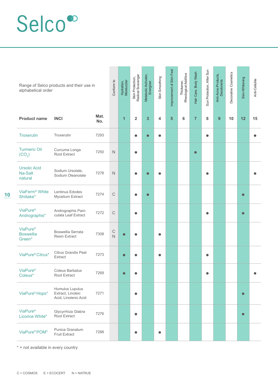| alphabetical order                                 | Range of Selco products and their use in                     |             | Conform to                    | Hydration,<br>Moisturzier | Skin Protection,<br>Radical Scavenger | Metabolic Acitvator,<br>Energizer | Skin Smoothing | Improvement of Skin Feel | Thickener,<br>Rheological Additive | Hair Care, Body Wash | Sun Protection, After Sun | Anti-Acne-Products,<br>Deodorants | Decorative Cosmetics | Skin-Whitening | Anti-Cellulite |
|----------------------------------------------------|--------------------------------------------------------------|-------------|-------------------------------|---------------------------|---------------------------------------|-----------------------------------|----------------|--------------------------|------------------------------------|----------------------|---------------------------|-----------------------------------|----------------------|----------------|----------------|
| <b>Product name</b>                                | <b>INCI</b>                                                  | Mat.<br>No. |                               | $\mathbf{1}$              | $\overline{\mathbf{2}}$               | $\overline{\mathbf{3}}$           | 4              | $\overline{\mathbf{5}}$  | 6                                  | $\overline{7}$       | 8                         | 9                                 | 10                   | 12             | 15             |
| Troxerutin                                         | Troxerutin                                                   | 7293        |                               |                           | $\bullet$                             | $\bullet$                         | $\bullet$      |                          |                                    |                      | $\bullet$                 |                                   |                      |                | $\bullet$      |
| <b>Turmeric Oil</b><br>(CO <sub>2</sub> )          | Curcuma Longa<br>Root Extract                                | 7250        | $\mathbb N$                   |                           | $\bullet$                             |                                   |                |                          |                                    | $\bullet$            |                           |                                   |                      |                |                |
| <b>Ursolic Acid</b><br>Na-Salt<br>natural          | Sodium Ursolate,<br>Sodium Oleanolate                        | 7278        | $\mathsf{N}$                  |                           | $\bullet$                             |                                   |                |                          |                                    |                      |                           |                                   |                      |                |                |
| ViaFerm <sup>®</sup> White<br>Shiitake*            | Lentinus Edodes<br>Mycelium Extract                          | 7274        | $\mathsf C$                   |                           | $\bullet$                             | $\bullet$                         |                |                          |                                    |                      |                           |                                   |                      | $\bullet$      |                |
| <b>ViaPure®</b><br>Andrographis*                   | Andrographis Pani-<br>culata Leaf Extract                    | 7272        | $\mathsf C$                   |                           | $\bullet$                             |                                   |                |                          |                                    |                      | ●                         |                                   |                      | $\bullet$      |                |
| ViaPure <sup>®</sup><br><b>Boswellia</b><br>Green* | Boswellia Serrata<br><b>Resin Extract</b>                    | 7308        | $\mathsf C$<br>$\overline{N}$ |                           | $\bullet$                             |                                   |                |                          |                                    |                      |                           |                                   |                      |                |                |
| ViaPure® Citrus*                                   | <b>Citrus Grandis Peel</b><br>Extract                        | 7273        |                               | $\bullet$                 | $\bullet$                             |                                   |                |                          |                                    |                      |                           |                                   |                      |                |                |
| <b>ViaPure®</b><br>Coleus*                         | <b>Coleus Barbatus</b><br>Root Extract                       | 7269        |                               |                           |                                       |                                   |                |                          |                                    |                      |                           |                                   |                      |                |                |
| ViaPure <sup>®</sup> Hops*                         | Humulus Lupulus<br>Extract, Linoleic<br>Acid, Linolenic Acid | 7271        |                               |                           | $\bullet$                             |                                   |                |                          |                                    |                      |                           |                                   |                      | $\bullet$      |                |
| ViaPure <sup>®</sup><br>Licorice White*            | Glycyrrhiza Glabra<br>Root Extract                           | 7276        |                               |                           | $\bullet$                             |                                   |                |                          |                                    |                      |                           |                                   |                      | $\bullet$      |                |
| ViaPure <sup>®</sup> POM*                          | Punica Granatum<br><b>Fruit Extract</b>                      | 7288        |                               |                           | $\bullet$                             |                                   |                |                          |                                    |                      |                           |                                   |                      |                |                |

\* = not available in every country

**10**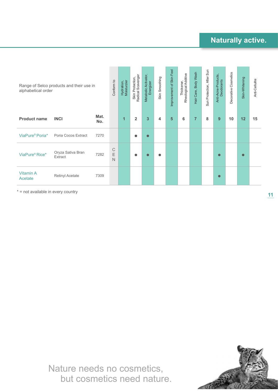| alphabetical order          | Range of Selco products and their use in |             | Conform to                      | Hydration,<br>Moisturzier | Skin Protection,<br>Radical Scavenger | Metabolic Acitvator,<br>Energizer | Skin Smoothing | Feel<br>Improvement of Skin | Thickener,<br>Rheological Additive | Body Wash<br>Hair Care, | Sun Protection, After Sun | Anti-Acne-Products,<br>Deodorants | Decorative Cosmetics | Skin-Whitening | Anti-Cellulite |
|-----------------------------|------------------------------------------|-------------|---------------------------------|---------------------------|---------------------------------------|-----------------------------------|----------------|-----------------------------|------------------------------------|-------------------------|---------------------------|-----------------------------------|----------------------|----------------|----------------|
| <b>Product name</b>         | <b>INCI</b>                              | Mat.<br>No. |                                 | 1                         | $\overline{2}$                        | $\overline{\mathbf{3}}$           | 4              | 5                           | 6                                  | 7                       | 8                         | 9                                 | 10                   | 12             | 15             |
| ViaPure <sup>®</sup> Poria* | Poria Cocos Extract                      | 7270        |                                 |                           | $\bullet$                             |                                   |                |                             |                                    |                         |                           |                                   |                      |                |                |
| ViaPure <sup>®</sup> Rice*  | Oryza Sativa Bran<br>Extract             | 7282        | $\mathbb C$<br>E<br>$\mathbb N$ |                           | $\bullet$                             |                                   |                |                             |                                    |                         |                           | $\bullet$                         |                      | $\bullet$      |                |
| <b>Vitamin A</b><br>Acetate | Retinyl Acetate                          | 7309        |                                 |                           |                                       |                                   |                |                             |                                    |                         |                           | $\bullet$                         |                      |                |                |

\* = not available in every country

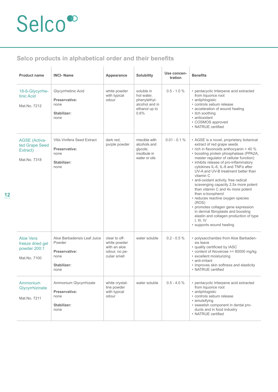### **Selco products in alphabetical order and their benefits**

| <b>Product name</b>                                                | <b>INCI-Name</b>                                                                      | Appearance                                                                     | Solubility                                                                          | Use concen-<br>tration | <b>Benefits</b>                                                                                                                                                                                                                                                                                                                                                                                                                                                                                                                                                                                                                                                                                       |
|--------------------------------------------------------------------|---------------------------------------------------------------------------------------|--------------------------------------------------------------------------------|-------------------------------------------------------------------------------------|------------------------|-------------------------------------------------------------------------------------------------------------------------------------------------------------------------------------------------------------------------------------------------------------------------------------------------------------------------------------------------------------------------------------------------------------------------------------------------------------------------------------------------------------------------------------------------------------------------------------------------------------------------------------------------------------------------------------------------------|
| 18-ß-Glycyrrhe-<br>tinic Acid<br>Mat.No. 7212                      | Glycyrrhetinic Acid<br>Preservative:<br>none<br>Stabilizer:<br>none                   | white powder<br>with typical<br>odour                                          | soluble in<br>hot water.<br>phenylethyl-<br>alcohol and in<br>ethanol up to<br>0.6% | $0.5 - 1.0 %$          | • pentacyclic triterpene acid extracted<br>from liquorice root<br>• antiphlogistic<br>• controls sebum release<br>• acceleration of wound healing<br>• itch soothing<br>· antioxidant<br>• COSMOS approved<br>• NATRUE certified                                                                                                                                                                                                                                                                                                                                                                                                                                                                      |
| <b>AGSE</b> (Activa-<br>ted Grape Seed<br>Extract)<br>Mat.No. 7318 | Vitis Vinifera Seed Extract<br>Preservative:<br>none<br>Stabilizer:<br>none           | dark red.<br>purple powder                                                     | miscible with<br>alcohols and<br>glycols;<br>insolbule in<br>water or oils          | $0.01 - 0.1 %$         | • AGSE is a novel, proprietary botanical<br>extract of red grape seeds<br>• rich in flavonoids anthocyanin > 40 %<br>• boosting protein phosphatase (PPA2A,<br>master regulator of cellular function)<br>• inhibits release of pro-inflammatory<br>cytokines IL-6, IL-8 and TNFα after<br>UV-A and UV-B treatment better than<br>vitamin C<br>• anti-oxidant activity, free radical<br>scavenging capacity 2,5x more potent<br>than vitamin C and 4x more potent<br>than α-tocopherol<br>• reduces reactive oxygen species<br>(ROS)<br>• promotes collagen gene expression<br>in dermal fibroplasts and boosting<br>elastin and collagen production of type<br>I, III, IV<br>• supports wound healing |
| Aloe Vera<br>freeze dried gel<br>powder 200:1<br>Mat.No. 7100      | Aloe Barbadensis Leaf Juice<br>Powder<br>Preservative:<br>none<br>Stabilizer:<br>none | clear to off-<br>white powder<br>with an aloe<br>odour. no pe-<br>culiar smell | water soluble                                                                       | $0.2 - 0.5 \%$         | • polysaccharides from Aloe Barbaden-<br>sis leave<br>• quality certificied by IASC<br>• content of Aloverose >= 80000 mg/kg<br>• excellent moisturizing<br>• anti-irritant<br>• improves skin softness and elasticity<br>• NATRUE certified                                                                                                                                                                                                                                                                                                                                                                                                                                                          |
| Ammonium<br>Glycyrrhizinate<br>Mat.No. 7211                        | Ammonium Glycyrrhizate<br>Preservative:<br>none<br>Stabilizer:<br>none                | white crystal-<br>line powder<br>with typical<br>odour                         | water soluble                                                                       | $0.5 - 4.0 %$          | • pentacyclic triterpene acid extracted<br>from liquorice root<br>· antiphlogistic<br>· controls sebum release<br>• emulsifying<br>• sweetish component in dental pro-<br>ducts and in food industry<br>• NATRUE certified                                                                                                                                                                                                                                                                                                                                                                                                                                                                            |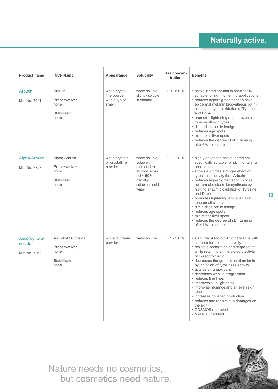| <b>Product name</b>                            | <b>INCI-Name</b>                                                   | Appearance                                               | <b>Solubility</b>                                                                                                          | Use concen-<br>tration | <b>Benefits</b>                                                                                                                                                                                                                                                                                                                                                                                                                                                                                                                                                                     |
|------------------------------------------------|--------------------------------------------------------------------|----------------------------------------------------------|----------------------------------------------------------------------------------------------------------------------------|------------------------|-------------------------------------------------------------------------------------------------------------------------------------------------------------------------------------------------------------------------------------------------------------------------------------------------------------------------------------------------------------------------------------------------------------------------------------------------------------------------------------------------------------------------------------------------------------------------------------|
| <b>Arbutin</b><br>Mat.No. 7011                 | Arbutin<br>Preservative:<br>none<br>Stabilizer:<br>none            | white crystal-<br>line powder<br>with a typical<br>smell | water soluble,<br>slightly soluble<br>in ethanol                                                                           | $1.0 - 5.0 %$          | • active ingredient that is specifically<br>suitable for skin lightening applications<br>• reduces hyperpigmentation: blocks<br>epidermal melanin biosynthesis by in-<br>hibiting enzymic oxidation of Tyrosine<br>and Dopa<br>• promotes lightening and an even skin<br>tone on all skin types<br>· diminishes senile lentigo<br>• reduces age spots<br>• minimizes liver spots<br>• reduces the degree of skin tanning<br>after UV exposure                                                                                                                                       |
| Alpha-Arbutin<br>Mat.No. 7328                  | Alpha-Arbutin<br>Preservative:<br>none<br>Stabilizer:<br>none      | white crystals<br>or crystalline<br>powder               | water soluble,<br>soluble in<br>methanol or<br>alcohol (etha-<br>$nol < 50 \%$ ),<br>partially<br>soluble in cold<br>water | $0.1 - 2.0 %$          | • highly advanced active ingredient<br>specifically suitable for skin lightening<br>applications<br>• shows a 2 times stronger effect on<br>tyrosinase activity than Arbutin<br>· reduces hyperpigmentation: blocks<br>epidermal melanin biosynthesis by in-<br>hibiting enzymic oxidation of Tyrosine<br>and Dopa<br>• promotes lightening and even skin<br>tone on all skin types<br>· diminishes senile lentigo<br>• reduces age spots<br>• minimizes liver spots<br>• reduces the degree of skin tanning<br>after UV exposure                                                   |
| <b>Ascorbyl Glu-</b><br>coside<br>Mat.No. 7268 | Ascorbyl Glucoside<br>Preservative:<br>none<br>Stabilizer:<br>none | white to cream<br>powder                                 | water soluble                                                                                                              | $0.1 - 2.0 %$          | • stabilized Ascorbic Acid derivative with<br>superior formulation stability<br>· resists discoloration and degradation,<br>while retaining all the biologic activity<br>of L-Ascorbic Acid<br>• decreases the generation of melanin<br>by inhibition of tyrosinase activity<br>• acts as an antioxidant<br>• decreases wrinkle progression<br>• reduces fine lines<br>• improves skin lightening<br>· improves radiance and an even skin<br>tone<br>• increases collagen production<br>• reduces and repairs sun damages on<br>the skin<br>• COSMOS approved<br>• NATRUE certified |

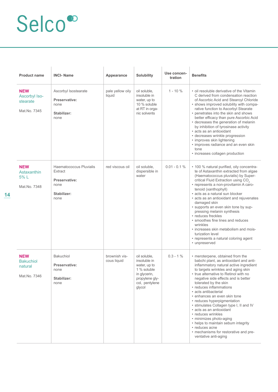| <b>Product name</b>                                       | <b>INCI-Name</b>                                                                   | Appearance                   | <b>Solubility</b>                                                                                                         | Use concen-<br>tration | <b>Benefits</b>                                                                                                                                                                                                                                                                                                                                                                                                                                                                                                                                                                                                                         |
|-----------------------------------------------------------|------------------------------------------------------------------------------------|------------------------------|---------------------------------------------------------------------------------------------------------------------------|------------------------|-----------------------------------------------------------------------------------------------------------------------------------------------------------------------------------------------------------------------------------------------------------------------------------------------------------------------------------------------------------------------------------------------------------------------------------------------------------------------------------------------------------------------------------------------------------------------------------------------------------------------------------------|
| <b>NEW</b><br>Ascorbyl Iso-<br>stearate<br>Mat.No. 7345   | Ascorbyl Isostearate<br>Preservative:<br>none<br>Stabilizer:<br>none               | pale yellow oily<br>liquid   | oil soluble,<br>insoluble in<br>water, up to<br>10 % soluble<br>at RT in orga-<br>nic solvents                            | $1 - 10%$              | • oil resoluble derivative of the Vitamin<br>C derived from condensation reaction<br>of Ascorbic Acid and Stearoyl Chloride<br>• shows improved solubility with compa-<br>rative function to Ascorbyl Stearate<br>• penetrates into the skin and shows<br>better efficacy than pure Ascorbic Acid<br>• decreases the generation of melanin<br>by inhibition of tyrosinase activity<br>· acts as an antioxidant<br>• decreases wrinkle progression<br>• improves skin lightening<br>• improves radiance and an even skin<br>tone<br>• increases collagen production                                                                      |
| <b>NEW</b><br>Astaxanthin<br>5% L<br>Mat.No. 7348         | Haematococcus Pluvialis<br>Extract<br>Preservative:<br>none<br>Stabilizer:<br>none | red viscous oil              | oil soluble,<br>dispersible in<br>water                                                                                   | $0.01 - 0.1 %$         | • 100 % natural purified, oily concentra-<br>te of Astaxanthin extracted from algae<br>(Haematococcus pluvialis) by Super-<br>critical Fluid Extraction using CO <sub>2</sub><br>• represents a non-provitamin A caro-<br>tenoid (xanthophyll)<br>· acts as a natural sun blocker<br>• acts as an antioxidant and rejuvenates<br>damaged skin<br>• supports an even skin tone by sup-<br>pressing melanin synthesis<br>• reduces freckles<br>• smoothes fine lines and reduces<br>wrinkles<br>• increases skin metabolism and mois-<br>turization level<br>• represents a natural coloring agent<br>• unpreserved                       |
| <b>NEW</b><br><b>Bakuchiol</b><br>natural<br>Mat.No. 7346 | Bakuchiol<br>Preservative:<br>none<br>Stabilizer:<br>none                          | brownish vis-<br>cous liquid | oil soluble,<br>insoluble in<br>water, up to<br>1 % soluble<br>in glycerin,<br>propylene gly-<br>col, pentylene<br>glycol | $0.3 - 1%$             | • meroterpene, obtained from the<br>babchi plant, as antioxidant and anti-<br>inflammatory natural active ingredient<br>to targets wrinkles and aging skin<br>• true alternative to Retinol with no<br>negative side effects and is better<br>tolerated by the skin<br>• reduces inflammations<br>• acts antibacterial<br>• enhances an even skin tone<br>• reduces hyperpigmentation<br>• stimulates Collagen type I, II and IV<br>• acts as an antioxidant<br>• reduces wrinkles<br>• minimizes photo-aging<br>• helps to maintain sebum integrity<br>• reduces acne<br>• mechanisms for restorative and pre-<br>ventative anti-aging |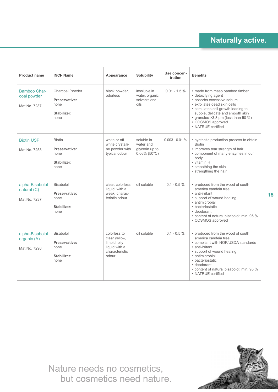| <b>Product name</b>                            | <b>INCI-Name</b>                                                | Appearance                                                                                | Solubility                                                       | Use concen-<br>tration | <b>Benefits</b>                                                                                                                                                                                                                                                                      |
|------------------------------------------------|-----------------------------------------------------------------|-------------------------------------------------------------------------------------------|------------------------------------------------------------------|------------------------|--------------------------------------------------------------------------------------------------------------------------------------------------------------------------------------------------------------------------------------------------------------------------------------|
| Bamboo Char-<br>coal powder<br>Mat No 7287     | Charcoal Powder<br>Preservative:<br>none<br>Stabilizer:<br>none | black powder,<br>odorless                                                                 | insoluble in<br>water, organic<br>solvents and<br>oils           | $0.01 - 1.5 \%$        | • made from maso bamboo timber<br>• detoxifying agent<br>· absorbs excessive sebum<br>· exfoliates dead skin cells<br>• stimulates cell growth leading to<br>supple, delicate and smooth skin<br>• granules $>3.8 \mu m$ (less than 50 %)<br>• COSMOS approved<br>• NATRUE certified |
| <b>Biotin USP</b><br>Mat.No. 7253              | <b>Biotin</b><br>Preservative:<br>none<br>Stabilizer:<br>none   | white or off<br>white crystalli-<br>ne powder with<br>typical odour                       | soluble in<br>water and<br>glycerin up to<br>$0.06\%$ (50 $°C$ ) | $0.003 - 0.01 %$       | • synthetic production process to obtain<br><b>Biotin</b><br>• improves tear strength of hair<br>• component of many enzymes in our<br>body<br>• vitamin H<br>• smoothing the skin<br>• strengthing the hair                                                                         |
| alpha-Bisabolol<br>natural (C)<br>Mat.No. 7237 | Bisabolol<br>Preservative:<br>none<br>Stabilizer:<br>none       | clear, colorless<br>liquid, with a<br>weak. charac-<br>teristic odour                     | oil soluble                                                      | $0.1 - 0.5 \%$         | • produced from the wood of south<br>america candeia tree<br>• anti-irritant<br>• support of wound healing<br>• antimicrobial<br>• bacteriostatic<br>• deodorant<br>• content of natural bisabolol: min. 95 %<br>• COSMOS approved                                                   |
| alpha-Bisabolol<br>organic (A)<br>Mat.No. 7290 | Bisabolol<br>Preservative:<br>none<br>Stabilizer:<br>none       | colorless to<br>clear yellow,<br>limpid, oily<br>liquid with a<br>characteristic<br>odour | oil soluble                                                      | $0.1 - 0.5 \%$         | • produced from the wood of south<br>america candeia tree<br>• compliant with NOP/USDA standards<br>• anti-irritant<br>• support of wound healing<br>· antimicrobial<br>• bacteriostatic<br>• deodorant<br>• content of natural bisabolol: min. 95 %<br>• NATRUE certified           |

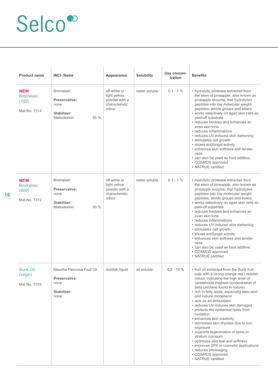| <b>Product name</b>                                     | <b>INCI-Name</b>                                                                 | Appearance                                                               | Solubility    | Use concen-<br>tration | <b>Benefits</b>                                                                                                                                                                                                                                                                                                                                                                                                                                                                                                                                                                                                                                                                                           |
|---------------------------------------------------------|----------------------------------------------------------------------------------|--------------------------------------------------------------------------|---------------|------------------------|-----------------------------------------------------------------------------------------------------------------------------------------------------------------------------------------------------------------------------------------------------------------------------------------------------------------------------------------------------------------------------------------------------------------------------------------------------------------------------------------------------------------------------------------------------------------------------------------------------------------------------------------------------------------------------------------------------------|
| <b>NEW</b><br><b>Bromelain</b><br>(100)<br>Mat.No. 7314 | <b>Bromelain</b><br>Preservative:<br>none<br>Stabilizer:<br>85 %<br>Maltodextrin | off-white or<br>light yellow<br>powder with a<br>characteristic<br>odour | water soluble | $0.1 - 1\%$            | • hydrolytic protease extracted from<br>the stem of pineapple, also known as<br>pineapple enzyme, that hydrolyzes<br>peptides into low molecular weight<br>peptides, amide groups and esters<br>• works selectively on aged skin cells as<br>peel-off substrate<br>• reduces freckles and enhances an<br>even skin tone<br>• reduces inflammations<br>• reduces UV-induced skin darkening<br>• stimulates cell growth<br>• shows antifungal activity<br>• enhances skin softness and tender-<br>ness<br>• can also be used as food additive<br>• COSMOS approved<br>• NATRUE certified                                                                                                                    |
| <b>NEW</b><br><b>Bromelain</b><br>(600)<br>Mat.No. 7312 | <b>Bromelain</b><br>Preservative:<br>none<br>Stabilizer:<br>Maltodextrin<br>30%  | off-white or<br>light yellow<br>powder with a<br>characteristic<br>odour | water soluble | $0.1 - 1\%$            | • hydrolytic protease extracted from<br>the stem of pineapple, also known as<br>pineapple enzyme, that hydrolyzes<br>peptides into low molecular weight<br>peptides, amide groups and esters<br>• works selectively on aged skin cells as<br>peel-off substrate<br>• reduces freckles and enhances an<br>even skin tone<br>• reduces inflammations<br>• reduces UV-induced skin darkening<br>• stimulates cell growth<br>• shows antifungal activity<br>• enhances skin softness and tender-<br>ness<br>• can also be used as food additive<br>• COSMOS approved<br>• NATRUE certified                                                                                                                    |
| <b>Buriti Oil</b><br>(virgin)<br>Mat.No. 7315           | Mauritia Flexuosa Fruit Oil<br>Preservative:<br>none<br>Stabilizer:<br>none      | reddish liquid                                                           | oil soluble   | $0.2 - 10 \%$          | • fruit oil extracted from the Buriti fruit<br>pulp with a strong orange red / reddish<br>colour, indicating the high level of<br>carotenoids (highest concentration of<br>beta carotene found in nature)<br>• rich in fatty acids, especially oleic acid<br>and natural tocopherol<br>• acts as an antioxidant<br>• reduces UV-induces skin damages<br>• protects the epidermal lipids from<br>oxidation<br>• enhances skin elasticity<br>• decreases skin dryness due to sun<br>exposure<br>• supports regeneration of lipids in<br>stratum corneum<br>• optimizes skin feel and softness<br>• improves SPF in cosmetic applications<br>• reduces photoaging<br>• COSMOS approved<br>• NATRUE certified |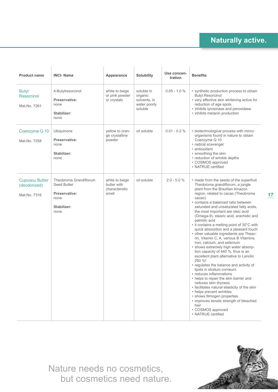| <b>Product name</b>                                   | <b>INCI-Name</b>                                                                      | Appearance                                               | <b>Solubility</b>                                                | Use concen-<br>tration | <b>Benefits</b>                                                                                                                                                                                                                                                                                                                                                                                                                                                                                                                                                                                                                                                                                                                                                                                                                                                                                                                                                                                                                                                             |
|-------------------------------------------------------|---------------------------------------------------------------------------------------|----------------------------------------------------------|------------------------------------------------------------------|------------------------|-----------------------------------------------------------------------------------------------------------------------------------------------------------------------------------------------------------------------------------------------------------------------------------------------------------------------------------------------------------------------------------------------------------------------------------------------------------------------------------------------------------------------------------------------------------------------------------------------------------------------------------------------------------------------------------------------------------------------------------------------------------------------------------------------------------------------------------------------------------------------------------------------------------------------------------------------------------------------------------------------------------------------------------------------------------------------------|
| <b>Butyl</b><br>Resorcinol<br>Mat.No. 7261            | 4-Butylresorcinol<br>Preservative:<br>none<br>Stabilizer:<br>none                     | white to beige<br>or pink powder<br>or crystals          | soluble in<br>organic<br>solvents, in<br>water poorly<br>soluble | $0.05 - 1.0 %$         | • synthetic production process to obtain<br><b>Butyl Resorcinol</b><br>• very effective skin whitening active for<br>reduction of age spots<br>• inhibits tyrosinase and peroxidase<br>• inhibits melanin production                                                                                                                                                                                                                                                                                                                                                                                                                                                                                                                                                                                                                                                                                                                                                                                                                                                        |
| Coenzyme Q 10<br>Mat.No. 7258                         | Ubiquinone<br>Preservative:<br>none<br>Stabilizer:<br>none                            | yellow to oran-<br>ge crystalline<br>powder              | oil soluble                                                      | $0.01 - 0.2 \%$        | • biotechnological process with micro-<br>organisms found in nature to obtain<br>Coenzyme Q 10<br>• radical scavenger<br>• antioxidant<br>• smoothing the skin<br>• reduction of wrinkle depths<br>• COSMOS approved<br>• NATRUE certified                                                                                                                                                                                                                                                                                                                                                                                                                                                                                                                                                                                                                                                                                                                                                                                                                                  |
| <b>Cupuacu Butter</b><br>(deodorized)<br>Mat.No. 7316 | Theobroma Grandiflorum<br>Seed Butter<br>Preservative:<br>none<br>Stabilizer:<br>none | white to beige<br>butter with<br>characteristic<br>smell | oil soluble                                                      | $2.0 - 5.0 %$          | • made from the seeds of the superfruit<br>Theobroma grandiflorum, a jungle<br>plant from the Brazilian Amazon<br>region, related to cacao (Theobroma<br>cacao)<br>· contains a balanced ratio between<br>saturated and unsaturated fatty acids,<br>the most important are oleic acid<br>(Omega-9), stearic acid, arachidic and<br>palmitic acid<br>• it contains a melting point of 30°C with<br>quick absorption and a pleasant touch<br>• other valuable ingredients are Theac-<br>rin, Vitamin C, A, various B Vitamins,<br>iron, calcium, and selenium<br>· shows extremely high water absorp-<br>tion capacity of 440 %, thus is an<br>excellent plant alternative to Lanolin<br>250 %!<br>• regulates the balance and activity of<br>lipids in stratum corneum<br>• reduces inflammations<br>• helps to repair the skin barrier and<br>reduces skin dryness<br>• facilitates natural elasticity of the skin<br>• helps prevent wrinkles<br>• shows filmogen properties<br>• improves tensile strength of bleached<br>hair<br>• COSMOS approved<br>• NATRUE certified |

Nature needs no cosmetics, but cosmetics need nature.



**17**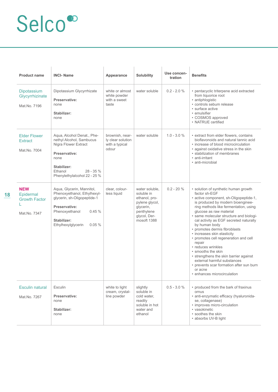| <b>Product name</b>                                             | <b>INCI-Name</b>                                                                                                                                                                  | Appearance                                                      | <b>Solubility</b>                                                                                                         | Use concen-<br>tration | <b>Benefits</b>                                                                                                                                                                                                                                                                                                                                                                                                                                                                                                                                                                                                                              |
|-----------------------------------------------------------------|-----------------------------------------------------------------------------------------------------------------------------------------------------------------------------------|-----------------------------------------------------------------|---------------------------------------------------------------------------------------------------------------------------|------------------------|----------------------------------------------------------------------------------------------------------------------------------------------------------------------------------------------------------------------------------------------------------------------------------------------------------------------------------------------------------------------------------------------------------------------------------------------------------------------------------------------------------------------------------------------------------------------------------------------------------------------------------------------|
| Dipotassium<br>Glycyrrhizinate<br>Mat.No. 7196                  | Dipotassium Glycyrrhizate<br>Preservative:<br>none<br>Stabilizer:<br>none                                                                                                         | white or almost<br>white powder<br>with a sweet<br>taste        | water soluble                                                                                                             | $0.2 - 2.0 %$          | · pentacyclic triterpene acid extracted<br>from liquorice root<br>• antiphlogistic<br>• controls sebum release<br>· surface active<br>• emulsifier<br>• COSMOS approved<br>• NATRUE certified                                                                                                                                                                                                                                                                                                                                                                                                                                                |
| <b>Elder Flower</b><br>Extract<br>Mat.No. 7004                  | Aqua, Alcohol Denat., Phe-<br>nethyl Alcohol, Sambucus<br>Nigra Flower Extract<br>Preservative:<br>none<br>Stabilizer:<br>$28 - 35%$<br>Ethanol<br>Phenylethylalcohol 22 - 25 %   | brownish, near-<br>ly clear solution<br>with a typical<br>odour | water soluble                                                                                                             | $1.0 - 3.0 \%$         | • extract from elder flowers, contains<br>bioflavonoids and natural tannic acid<br>• increase of blood microcirculation<br>• against oxidative stress in the skin<br>• stabilization of membranes<br>• anti-irritant<br>· anti-microbial                                                                                                                                                                                                                                                                                                                                                                                                     |
| <b>NEW</b><br>Epidermal<br><b>Growth Factor</b><br>Mat.No. 7347 | Aqua, Glycerin, Mannitol,<br>Phenoxyethanol, Ethylhexyl-<br>glycerin, sh-Oligopeptide-1<br>Preservative:<br>Phenoxyethanol<br>0.45%<br>Stabilizer:<br>0.05%<br>Ethylhexylglycerin | clear, colour-<br>less liquid                                   | water soluble.<br>soluble in<br>ethanol, pro-<br>pylene glycol,<br>glycerin,<br>penthylene<br>glycol, Der-<br>mosoft 1388 | $0.2 - 20%$            | • solution of synthetic human growth<br>factor sh-EGF<br>· active component, sh-Oligopeptide-1,<br>is produced by modern bioenginee-<br>ring methods like fermentation, using<br>glucose as raw material<br>• same molecular structure and biologi-<br>cal activity as EGF secreted naturally<br>by human body<br>• promotes dermis fibroblasts<br>• increases skin elasticity<br>• promotes cell regeneration and cell<br>repair<br>· reduces wrinkles<br>• smooths the skin<br>• strengthens the skin barrier against<br>external harmful substances<br>• prevents scar formation after sun burn<br>or acne<br>• enhances microcirculation |
| <b>Esculin natural</b><br>Mat.No. 7267                          | Esculin<br>Preservative:<br>none<br>Stabilizer:<br>none                                                                                                                           | white to light<br>cream, crystal-<br>line powder                | slightly<br>soluble in<br>cold water,<br>readily<br>soluble in hot<br>water and<br>ethanol                                | $0.5 - 3.0 %$          | • produced from the bark of fraxinus<br>ornus<br>· anti-enzymatic efficacy (hyaluronida-<br>se, collagenase)<br>· improves micro-circulation<br>• vasokinetic<br>• soothes the skin<br>· absorbs UV-B light                                                                                                                                                                                                                                                                                                                                                                                                                                  |

**18**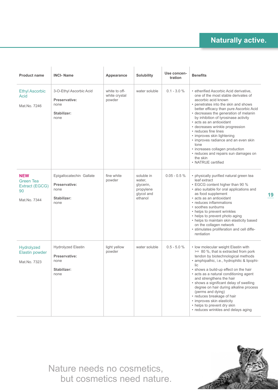| <b>Product name</b>                                                    | <b>INCI-Name</b>                                                         | Appearance                               | <b>Solubility</b>                                                       | Use concen-<br>tration | <b>Benefits</b>                                                                                                                                                                                                                                                                                                                                                                                                                                                                                                                                            |
|------------------------------------------------------------------------|--------------------------------------------------------------------------|------------------------------------------|-------------------------------------------------------------------------|------------------------|------------------------------------------------------------------------------------------------------------------------------------------------------------------------------------------------------------------------------------------------------------------------------------------------------------------------------------------------------------------------------------------------------------------------------------------------------------------------------------------------------------------------------------------------------------|
| <b>Ethyl Ascorbic</b><br><b>Acid</b><br>Mat.No. 7246                   | 3-O-Ethyl Ascorbic Acid<br>Preservative:<br>none<br>Stabilizer:<br>none  | white to off-<br>white crystal<br>powder | water soluble                                                           | $0.1 - 3.0 %$          | • etherified Ascorbic Acid derivative,<br>one of the most stable derivates of<br>ascorbic acid known<br>• penetrates into the skin and shows<br>better efficacy than pure Ascorbic Acid<br>• decreases the generation of melanin<br>by inhibition of tyrosinase activity<br>· acts as an antioxidant<br>• decreases wrinkle progression<br>• reduces fine lines<br>• improves skin lightening<br>• improves radiance and an even skin<br>tone<br>• increases collagen production<br>• reduces and repairs sun damages on<br>the skin<br>• NATRUE certified |
| <b>NEW</b><br><b>Green Tea</b><br>Extract (EGCG)<br>90<br>Mat.No. 7344 | Epigallocatechin Gallate<br>Preservative:<br>none<br>Stabilizer:<br>none | fine white<br>powder                     | soluble in<br>water,<br>glycerin,<br>propylene<br>glycol and<br>ethanol | $0.05 - 0.5 \%$        | • physically purified natural green tea<br>leaf extract<br>• EGCG content higher than 90 %<br>• also suitable for oral applications and<br>as food supplement<br>· acts as an antioxidant<br>• reduces inflammations<br>• soothes sunburns<br>• helps to prevent wrinkles<br>• helps to prevent photo aging<br>• helps to maintain skin elasticity based<br>on the collagen network<br>· stimulates proliferation and cell diffe-<br>rentiation                                                                                                            |
| Hydrolyzed<br><b>Elastin powder</b><br>Mat.No. 7323                    | Hydrolyzed Elastin<br>Preservative:<br>none<br>Stabilizer:<br>none       | light yellow<br>powder                   | water soluble                                                           | $0.5 - 5.0 %$          | • Iow molecular weight Elastin with<br>>= 80 %, that is extracted from pork<br>tendon by biotechnological methods<br>· amphipathic, i.e., hydrophilic & lipophi-<br>lic<br>• shows a build-up effect on the hair<br>• acts as a natural conditioning agent<br>and strengthens the hair<br>• shows a significant delay of swelling<br>degree on hair during alkaline process<br>(perms and dying)<br>• reduces breakage of hair<br>• improves skin elasticity<br>• helps to prevent dry skin<br>• reduces wrinkles and delays aging                         |

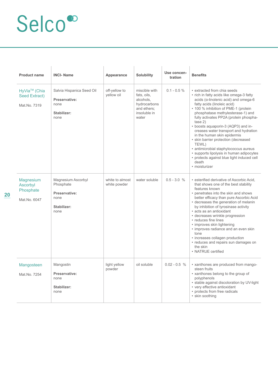| <b>Product name</b>                                       | <b>INCI-Name</b>                                                                | Appearance                      | <b>Solubility</b>                                                                                 | Use concen-<br>tration | <b>Benefits</b>                                                                                                                                                                                                                                                                                                                                                                                                                                                                                                                                                                                               |
|-----------------------------------------------------------|---------------------------------------------------------------------------------|---------------------------------|---------------------------------------------------------------------------------------------------|------------------------|---------------------------------------------------------------------------------------------------------------------------------------------------------------------------------------------------------------------------------------------------------------------------------------------------------------------------------------------------------------------------------------------------------------------------------------------------------------------------------------------------------------------------------------------------------------------------------------------------------------|
| HyVia <sup>™</sup> (Chia<br>Seed Extract)<br>Mat.No. 7319 | Salvia Hispanica Seed Oil<br>Preservative:<br>none<br>Stabilizer:<br>none       | off-yellow to<br>yellow oil     | miscible with<br>fats, oils,<br>alcohols,<br>hydrocarbons<br>and ethers;<br>insoluble in<br>water | $0.1 - 0.5 \%$         | • extracted from chia seeds<br>• rich in fatty acids like omega-3 fatty<br>acids (α-linolenic acid) and omega-6<br>fatty acids (linoleic acid)<br>• 100 % inhibition of PME-1 (protein<br>phosphatase methylesterase-1) and<br>fully activates PP2A (protein phospha-<br>tase 2)<br>• boosts aquaporin-3 (AQP3) and in-<br>creases water transport and hydration<br>in the human skin epidermis<br>• skin barrier protection (decreased<br>TEWL)<br>• antimicrobial staphylococcus aureus<br>• supports lipolysis in human adipocytes<br>• protects against blue light induced cell<br>death<br>• moisturizer |
| <b>Magnesium</b><br>Ascorbyl<br>Phosphate<br>Mat.No. 6047 | Magnesium Ascorbyl<br>Phosphate<br>Preservative:<br>none<br>Stabilizer:<br>none | white to almost<br>white powder | water soluble                                                                                     | $0.5 - 3.0 %$          | · esterified derivative of Ascorbic Acid,<br>that shows one of the best stability<br>features known<br>• penetrates into the skin and shows<br>better efficacy than pure Ascorbic Acid<br>• decreases the generation of melanin<br>by inhibition of tyrosinase activity<br>• acts as an antioxidant<br>• decreases wrinkle progression<br>• reduces fine lines<br>• improves skin lightening<br>• improves radiance and an even skin<br>tone<br>• increases collagen production<br>• reduces and repairs sun damages on<br>the skin<br>• NATRUE certified                                                     |
| Mangosteen<br>Mat.No. 7254                                | Mangostin<br>Preservative:<br>none<br>Stabilizer:<br>none                       | light yellow<br>powder          | oil soluble                                                                                       | $0.02 - 0.5 %$         | • xanthones are produced from mango-<br>steen fruits<br>• xanthones belong to the group of<br>polyphenols<br>· stable against discoloration by UV-light<br>• very effective antioxidant<br>• protects from free radicals<br>• skin soothing                                                                                                                                                                                                                                                                                                                                                                   |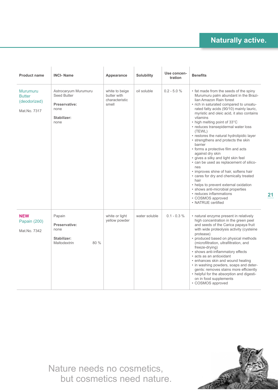**21**

| <b>Product name</b>                                              | <b>INCI-Name</b>                                                                    | Appearance                                               | <b>Solubility</b> | Use concen-<br>tration | <b>Benefits</b>                                                                                                                                                                                                                                                                                                                                                                                                                                                                                                                                                                                                                                                                                                                                                                                                                              |
|------------------------------------------------------------------|-------------------------------------------------------------------------------------|----------------------------------------------------------|-------------------|------------------------|----------------------------------------------------------------------------------------------------------------------------------------------------------------------------------------------------------------------------------------------------------------------------------------------------------------------------------------------------------------------------------------------------------------------------------------------------------------------------------------------------------------------------------------------------------------------------------------------------------------------------------------------------------------------------------------------------------------------------------------------------------------------------------------------------------------------------------------------|
| <b>Murumuru</b><br><b>Butter</b><br>(deodorized)<br>Mat.No. 7317 | Astrocaryum Murumuru<br>Seed Butter<br>Preservative:<br>none<br>Stabilizer:<br>none | white to beige<br>butter with<br>characteristic<br>smell | oil soluble       | $0.2 - 5.0 %$          | • fat made from the seeds of the spiny<br>Murumuru palm abundant in the Brazi-<br>lian Amazon Rain forest<br>• rich in saturated compared to unsatu-<br>rated fatty acids (90/10) mainly lauric,<br>myristic and oleic acid, it also contains<br>vitamins<br>• high melting point of 33°C<br>• reduces transepidermal water loss<br>(TEWL)<br>• restores the natural hydrolipidic layer<br>• strengthens and protects the skin<br>barrier<br>• forms a protective film and acts<br>against dry skin<br>• gives a silky and light skin feel<br>• can be used as replacement of silico-<br>nes<br>• improves shine of hair, softens hair<br>• cares for dry and chemically treated<br>hair<br>• helps to prevent external oxidation<br>• shows anti-microbial properties<br>• reduces inflammations<br>• COSMOS approved<br>• NATRUE certified |
| <b>NEW</b><br><b>Papain (200)</b><br>Mat.No. 7342                | Papain<br>Preservative:<br>none<br>Stabilizer:<br>80 %<br>Maltodextrin              | white or light<br>yellow powder                          | water soluble     | $0.1 - 0.3 \%$         | • natural enzyme present in relatively<br>high concentration in the green peel<br>and seeds of the Carica papaya fruit<br>with wide proteolysis activity (cysteine<br>protease)<br>• produced based on physical methods<br>(microfiltration, ultrafiltration, and<br>freeze-drying)<br>• shows anti-inflammatory effects<br>• acts as an antioxidant<br>• enhances skin and wound healing<br>• in washing powders, soaps and deter-<br>gents: removes stains more efficiently<br>• helpful for the absorption and digesti-<br>on in food supplements<br>• COSMOS approved                                                                                                                                                                                                                                                                    |

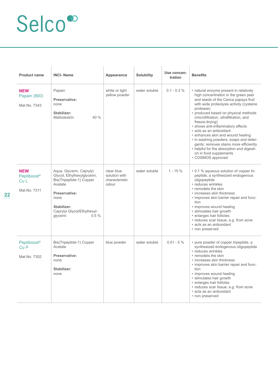| <b>Product name</b>                                          | <b>INCI-Name</b>                                                                                                                                                                          | Appearance                                             | <b>Solubility</b> | Use concen-<br>tration | <b>Benefits</b>                                                                                                                                                                                                                                                                                                                                                                                                                                                                                                                                                           |
|--------------------------------------------------------------|-------------------------------------------------------------------------------------------------------------------------------------------------------------------------------------------|--------------------------------------------------------|-------------------|------------------------|---------------------------------------------------------------------------------------------------------------------------------------------------------------------------------------------------------------------------------------------------------------------------------------------------------------------------------------------------------------------------------------------------------------------------------------------------------------------------------------------------------------------------------------------------------------------------|
| <b>NEW</b><br>Papain (800)<br>Mat.No. 7343                   | Papain<br>Preservative:<br>none<br>Stabilizer:<br>40 %<br>Maltodextrin                                                                                                                    | white or light<br>yellow powder                        | water soluble     | $0.1 - 0.3 \%$         | • natural enzyme present in relatively<br>high concentration in the green peel<br>and seeds of the Carica papaya fruit<br>with wide proteolysis activity (cysteine<br>protease)<br>• produced based on physical methods<br>(microfiltration, ultrafiltration, and<br>freeze-drying)<br>· shows anti-inflammatory effects<br>· acts as an antioxidant<br>· enhances skin and wound healing<br>• in washing powders, soaps and deter-<br>gents: removes stains more efficiently<br>• helpful for the absorption and digesti-<br>on in food supplements<br>• COSMOS approved |
| <b>NEW</b><br>Peptiboost®<br>Cu <sub>1</sub><br>Mat.No. 7311 | Aqua, Glycerin, Caprylyl<br>Glycol, Ethylhexylglycerin,<br>Bis(Tripeptide-1) Copper<br>Acetate<br>Preservative:<br>none<br>Stabilizer:<br>Caprylyl Glycol/Ethylhexyl-<br>0.5%<br>glycerin | clear blue<br>solution with<br>characteristic<br>odour | water soluble     | $1 - 15\%$             | • 0.1 % aqueous solution of copper tri-<br>peptide, a synthesized endogenous<br>oligopeptide<br>• reduces wrinkles<br>• remodels the skin<br>• increases skin thickness<br>• improves skin barrier repair and func-<br>tion<br>• improves wound healing<br>• stimulates hair growth<br>• enlarges hair follicles<br>• reduces scar tissue, e.g. from acne<br>· acts as an antioxidant<br>• non preserved                                                                                                                                                                  |
| Peptiboost <sup>®</sup><br>Cu <sub>P</sub><br>Mat.No. 7302   | Bis(Tripeptide-1) Copper<br>Acetate<br>Preservative:<br>none<br>Stabilizer:<br>none                                                                                                       | blue powder                                            | water soluble     | $0.01 - 5 \%$          | • pure powder of copper tripeptide, a<br>synthesized endogenous oligopeptide<br>• reduces wrinkles<br>• remodels the skin<br>• increases skin thickness<br>• improves skin barrier repair and func-<br>tion<br>· improves wound healing<br>• stimulates hair growth<br>· enlarges hair follicles<br>· reduces scar tissue, e.g. from acne<br>• acts as an antioxidant<br>• non preserved                                                                                                                                                                                  |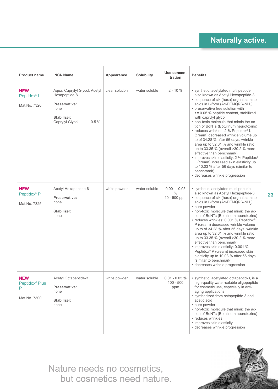| <b>Product name</b>                                           | <b>INCI-Name</b>                                                                                                  | Appearance     | <b>Solubility</b> | Use concen-<br>tration                          | <b>Benefits</b>                                                                                                                                                                                                                                                                                                                                                                                                                                                                                                                                                                                                                                                                                                                                                                    |
|---------------------------------------------------------------|-------------------------------------------------------------------------------------------------------------------|----------------|-------------------|-------------------------------------------------|------------------------------------------------------------------------------------------------------------------------------------------------------------------------------------------------------------------------------------------------------------------------------------------------------------------------------------------------------------------------------------------------------------------------------------------------------------------------------------------------------------------------------------------------------------------------------------------------------------------------------------------------------------------------------------------------------------------------------------------------------------------------------------|
| <b>NEW</b><br>Peptidox <sup>®</sup> L<br>Mat.No. 7326         | Aqua, Caprylyl Glycol, Acetyl<br>Hexapeptide-8<br>Preservative:<br>none<br>Stabilizer:<br>Caprylyl Glycol<br>0.5% | clear solution | water soluble     | $2 - 10%$                                       | · synthetic, acetylated multi peptide,<br>also known as Acetyl Hexapeptide-3<br>· sequence of six (hexa) organic amino<br>acids in L-form (Ac-EEMQRR-NH <sub>2</sub> )<br>• preservative free solution with<br>>= 0.05 % peptide content, stabilized<br>with caprylyl glycol<br>• non-toxic molecule that mimic the ac-<br>tion of BoNTs (Botulinum neurotoxins)<br>• reduces wrinkles: 2 % Peptidox® L<br>(cream) decreased wrinkle volume up<br>to of 34.28 % after 56 days, wrinkle<br>area up to 32.61 % and wrinkle ratio<br>up to 33.35 % (overall >30.2 % more<br>effective than benchmark)<br>• improves skin elasticity: 2 % Peptidox®<br>L (cream) increased skin elasticity up<br>to 10.03 % after 56 days (similar to<br>benchmark)<br>· decreases wrinkle progression |
| <b>NEW</b><br>Peptidox <sup>®</sup> P<br>Mat.No. 7325         | Acetyl Hexapeptide-8<br>Preservative:<br>none<br>Stabilizer:<br>none                                              | white powder   | water soluble     | $0.001 - 0.05$<br>$\frac{0}{0}$<br>10 - 500 ppm | • synthetic, acetylated multi peptide,<br>also known as Acetyl Hexapeptide-3<br>· sequence of six (hexa) organic amino<br>acids in L-form (Ac-EEMQRR-NH <sub>2</sub> )<br>• pure powder<br>• non-toxic molecule that mimic the ac-<br>tion of BoNTs (Botulinum neurotoxins)<br>• reduces wrinkles: 0.001 % Peptidox®<br>P (cream) decreased wrinkle volume<br>up to of 34.28 % after 56 days, wrinkle<br>area up to 32.61 % and wrinkle ratio<br>up to 33.35 % (overall >30.2 % more<br>effective than benchmark)<br>• improves skin elasticity: 0.001 %<br>Peptidox <sup>®</sup> P (cream) increased skin<br>elasticity up to 10.03 % after 56 days<br>(similar to benchmark)<br>• decreases wrinkle progression                                                                  |
| <b>NEW</b><br>Peptidox <sup>®</sup> Plus<br>P<br>Mat.No. 7300 | Acetyl Octapeptide-3<br>Preservative:<br>none<br>Stabilizer:<br>none                                              | white powder   | water soluble     | $0.01 - 0.05 \%$<br>$100 - 500$<br>ppm          | • synthetic, acetylated octapeptid-3, is a<br>high-quality water-soluble oligopeptide<br>for cosmetic use, especially in anti-<br>aging applications<br>· synthesized from octapeptide-3 and<br>acetic acid<br>• pure powder<br>• non-toxic molecule that mimic the ac-<br>tion of BoNTs (Botulinum neurotoxins)<br>• reduces wrinkles<br>• improves skin elasticity<br>· decreases wrinkle progression                                                                                                                                                                                                                                                                                                                                                                            |

Nature needs no cosmetics, but cosmetics need nature.



**23**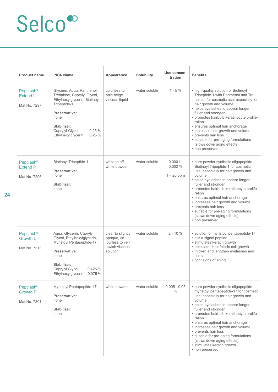| <b>Product name</b>                                       | <b>INCI-Name</b>                                                                                                                                                                                              | Appearance                                                                         | <b>Solubility</b> | Use concen-<br>tration               | <b>Benefits</b>                                                                                                                                                                                                                                                                                                                                                                                                                                                                 |
|-----------------------------------------------------------|---------------------------------------------------------------------------------------------------------------------------------------------------------------------------------------------------------------|------------------------------------------------------------------------------------|-------------------|--------------------------------------|---------------------------------------------------------------------------------------------------------------------------------------------------------------------------------------------------------------------------------------------------------------------------------------------------------------------------------------------------------------------------------------------------------------------------------------------------------------------------------|
| Peptilash <sup>®</sup><br>Extend L<br>Mat.No. 7297        | Glycerin, Aqua, Panthenol,<br>Trehalose, Caprylyl Glycol,<br>Ethylhexylglycerin, Biotinoyl<br>Tripeptide-1<br>Preservative:<br>none<br>Stabilizer:<br>0.25%<br>Caprylyl Glycol<br>0.25%<br>Ethylhexylglycerin | colorless to<br>pale beige<br>viscous liquid                                       | water soluble     | $1 - 5%$                             | • high-quality solution of Biotinoyl<br>Tripeptide-1 with Panthenol and Tre-<br>halose for cosmetic use, especially for<br>hair growth and volume<br>• helps eyelashes to appear longer,<br>fuller and stronger<br>• promotes hairbulb keratinocyte prolife-<br>ration<br>· ensures optimal hair anchorage<br>• increases hair growth and volume<br>• prevents hair loss<br>· suitable for pre-aging formulations<br>(slows down aging effects)<br>• non preserved              |
| Peptilash <sup>®</sup><br><b>Extend P</b><br>Mat.No. 7296 | <b>Biotinoyl Tripeptide-1</b><br>Preservative:<br>none<br>Stabilizer:<br>none                                                                                                                                 | white to off<br>white powder                                                       | water soluble     | $0.0001 -$<br>0.002%<br>$1 - 20$ ppm | • pure powder synthetic oligopeptide<br>Biotinoyl Tripeptide-1 for cosmetic<br>use, especially for hair growth and<br>volume<br>• helps eyelashes to appear longer,<br>fuller and stronger<br>· promotes hairbulb keratinocyte prolife-<br>ration<br>· ensures optimal hair anchorage<br>• increases hair growth and volume<br>• prevents hair loss<br>• suitable for pre-aging formulations<br>(slows down aging effects)<br>• non preserved                                   |
| Peptilash <sup>®</sup><br><b>Growth L</b><br>Mat.No. 7313 | Aqua, Glycerin, Caprylyl<br>Glycol, Ethylhexylglycerin,<br>Myristoyl Pentapeptide-17<br>Preservative:<br>none<br>Stabilizer:<br>0.425 %<br>Caprylyl Glycol<br>Ethylhexylglycerin 0.075%                       | clear to slightly<br>opaque, co-<br>lourless to yel-<br>lowish viscous<br>solution | water soluble     | $2 - 10%$                            | · solution of myristoyl pentapeptide-17<br>• it is a signal peptide<br>• stimulates keratin growth<br>• stimulates hair follicle cell growth<br>• thicken and lengthen eyelashes and<br>hairs<br>• fight signs of aging                                                                                                                                                                                                                                                         |
| Peptilash <sup>®</sup><br><b>Growth P</b><br>Mat.No. 7301 | Myristoyl Pentapeptide-17<br>Preservative:<br>none<br>Stabilizer:<br>none                                                                                                                                     | white powder                                                                       | water soluble     | $0.005 - 0.05$<br>$\frac{0}{0}$      | • pure powder synthetic oligopeptide<br>myristoyl pentapeptide-17 for cosmetic<br>use, especially for hair growth and<br>volume<br>• helps eyelashes to appear longer,<br>fuller and stronger<br>• promotes hairbulb keratinocyte prolife-<br>ration<br>· ensures optimal hair anchorage<br>• increases hair growth and volume<br>• prevents hair loss<br>• suitable for pre-aging formulations<br>(slows down aging effects)<br>• stimulates keratin growth<br>• non preserved |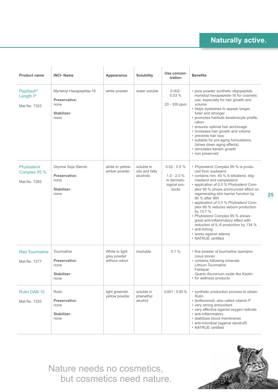| <b>Product name</b>                           | <b>INCI-Name</b>                                                         | Appearance                                     | Solubility                               | Use concen-<br>tration                                                  | <b>Benefits</b>                                                                                                                                                                                                                                                                                                                                                                                                                                                                                                                                                    |
|-----------------------------------------------|--------------------------------------------------------------------------|------------------------------------------------|------------------------------------------|-------------------------------------------------------------------------|--------------------------------------------------------------------------------------------------------------------------------------------------------------------------------------------------------------------------------------------------------------------------------------------------------------------------------------------------------------------------------------------------------------------------------------------------------------------------------------------------------------------------------------------------------------------|
| <b>Peptilash®</b><br>Length P<br>Mat.No. 7303 | Myristoyl Hexapeptide-16<br>Preservative:<br>none<br>Stabilizer:<br>none | white powder                                   | water soluble                            | $0.002 -$<br>0.03%<br>20 - 300 ppm                                      | • pure powder synthetic oligopeptide<br>myristoyl hexapeptide-16 for cosmetic<br>use, especially for hair growth and<br>volume<br>• helps eyelashes to appear longer,<br>fuller and stronger<br>• promotes hairbulb keratinocyte prolife-<br>ration<br>· ensures optimal hair anchorage<br>• increases hair growth and volume<br>• prevents hair loss<br>· suitable for pre-aging formulations<br>(slows down aging effects)<br>• stimulates keratin growth<br>• non preserved                                                                                     |
| Phytosterol<br>Complex 95 %<br>Mat.No. 7265   | Glycine Soja Sterols<br>Preservative:<br>none<br>Stabilizer:<br>none     | white to yellow-<br>amber powder               | soluble in<br>oils and fatty<br>alcohols | $0.02 - 0.5 %$<br>$1.0 - 2.0 %$<br>in dermato-<br>logical pro-<br>ducts | • Phytosterol Complex 95 % is produ-<br>ced from soybeans<br>• contains min. 40 % ß-sitosterol, stig-<br>masterol and campesterol<br>• application of 0.5 % Phytosterol Com-<br>plex 95 % shows pronounced effect on<br>regenerating skin barrier function by<br>90 % after 96h<br>• application of 0.5 % Phytosterol Com-<br>plex 95 % reduces sebum production<br>by 13.7 %<br>• Phytosterol Complex 95 % shows<br>great anti-inflammatory effect with<br>reduction of IL-6 production by 134 %<br>• anti-itching<br>• works against edema<br>• NATRUE certified |
| <b>Red Tourmaline</b><br>Mat.No. 7277         | Tourmaline<br>Preservative:<br>none<br>Stabilizer:<br>none               | White to light<br>grey powder<br>without odour | insoluble                                | 0.1%                                                                    | • fine powder of tourmaline (semipre-<br>cious stone)<br>• contains following minerals:<br>Lithium Tourmaline<br>Feldspar<br>Quartz-Aluminium oxide like Kaolin<br>• for wellness products                                                                                                                                                                                                                                                                                                                                                                         |
| Rutin DAB 10<br>Mat.No. 7225                  | Rutin<br>Preservative:<br>none<br>Stabilizer:<br>none                    | light greenish<br>yellow powder                | soluble in<br>phenethyl<br>alcohol       | $0.001 - 0.05 \%$                                                       | • synthetic production process to obtain<br>Rutin<br>· bioflavonoid, also called vitamin P<br>• very strong antioxidant<br>• very effective against oxygen radicals<br>• anti-inflammatory<br>· stabilizes blood membranes<br>· anti-microbial (against dandruff)<br>• NATRUE certified                                                                                                                                                                                                                                                                            |

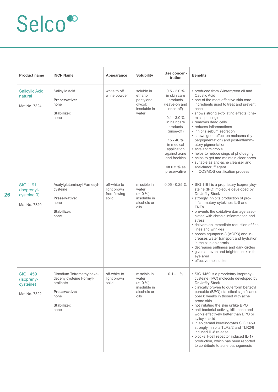| <b>Product name</b>                                           | <b>INCI-Name</b>                                                                                                  | Appearance                                           | <b>Solubility</b>                                                         | Use concen-<br>tration                                                                                                                                                                                                                            | <b>Benefits</b>                                                                                                                                                                                                                                                                                                                                                                                                                                                                                                                                                                                                           |
|---------------------------------------------------------------|-------------------------------------------------------------------------------------------------------------------|------------------------------------------------------|---------------------------------------------------------------------------|---------------------------------------------------------------------------------------------------------------------------------------------------------------------------------------------------------------------------------------------------|---------------------------------------------------------------------------------------------------------------------------------------------------------------------------------------------------------------------------------------------------------------------------------------------------------------------------------------------------------------------------------------------------------------------------------------------------------------------------------------------------------------------------------------------------------------------------------------------------------------------------|
| <b>Salicylic Acid</b><br>natural<br>Mat.No. 7324              | Salicylic Acid<br>Preservative:<br>none<br>Stabilizer:<br>none                                                    | white to off<br>white powder                         | soluble in<br>ethanol,<br>pentylene<br>glycol;<br>insoluble in<br>water   | $0.5 - 2.0 %$<br>in skin care<br>products<br>(leave-on and<br>rinse-off)<br>$0.1 - 3.0 \%$<br>in hair care<br>products<br>(rinse-off)<br>$15 - 40%$<br>in medical<br>application<br>against acne<br>and freckles<br>$= 0.5 \%$ as<br>preservative | • produced from Wintergreen oil and<br>Caustic Acid<br>• one of the most effective skin care<br>ingredients used to treat and prevent<br>acne<br>• shows strong exfoliating effects (che-<br>mical peeling)<br>• removes dead cells<br>• reduces inflammations<br>• inhibits sebum secretion<br>• shows good effect on melasma (hy-<br>perpigmentation) and post-inflamm-<br>atory pigmentation<br>· acts antimicrobial<br>• helps to reduce sings of photoaging<br>• helps to get and maintain clear pores<br>· suitable as anti-acne cleanser and<br>anti-dandruff agent<br>• in COSMOS certification process           |
| <b>SIG 1191</b><br>(Isoprenyl-<br>cysteine 3)<br>Mat.No. 7320 | Acetylglutaminoyl Farnesyl-<br>cysteine<br>Preservative:<br>none<br>Stabilizer:<br>none                           | off-white to<br>light brown<br>free-flowing<br>solid | miscible in<br>water<br>$(>10\%),$<br>insoluble in<br>alcohols or<br>oils | $0.05 - 0.25 \%$                                                                                                                                                                                                                                  | • SIG 1191 is a proprietary Isoprenylcy-<br>steine (IPC) molecule developed by<br>Dr. Jeffry Stock<br>• strongly inhibits production of pro-<br>inflammatory cytokines IL-8 and<br>$TNF\alpha$<br>• prevents the oxidative damage asso-<br>ciated with chronic inflammation and<br>stress<br>• delivers an immediate reduction of fine<br>lines and wrinkles<br>• boosts aquaporin-3 (AQP3) and in-<br>creases water transport and hydration<br>in the skin epidermis<br>• decreases puffiness and dark circles<br>• gives an even and brighten look in the<br>eye area<br>· effective moisturizer                        |
| <b>SIG 1459</b><br>(Isopreny-<br>cysteine)<br>Mat.No. 7322    | Disodium Tetramethylhexa-<br>decenylcysteine Formyl-<br>prolinate<br>Preservative:<br>none<br>Stabilizer:<br>none | off-white to<br>light brown<br>solid                 | miscible in<br>water<br>$(210\%),$<br>insoluble in<br>alcohols or<br>oils | $0.1 - 1\%$                                                                                                                                                                                                                                       | • SIG 1459 is a proprietary Isoprenyl-<br>cysteine (IPC) molecule developed by<br>Dr. Jeffry Stock<br>· clinically proven to outerform benzoyl<br>peroxide (BPO) statistical significance<br>ober 8 weeks in thosed with acne<br>prone skin<br>• not irritating the skin unlike BPO<br>• anti-bacterial activity, kills acne and<br>works effectively better than BPO or<br>sylicylic acid<br>• in epidermal keratinocytes SIG 1459<br>strongly inhibits TLR2/2 and TLR2/6<br>induced IL-8 release<br>• blocks T-cell receptor induced IL-17<br>production, which has been reported<br>to contribute to acne pathogenesis |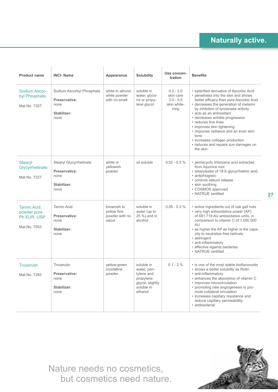| <b>Product name</b>                                        | <b>INCI-Name</b>                                                               | Appearance                                            | Solubility                                                                                        | Use concen-<br>tration                                         | <b>Benefits</b>                                                                                                                                                                                                                                                                                                                                                                                                                                                          |
|------------------------------------------------------------|--------------------------------------------------------------------------------|-------------------------------------------------------|---------------------------------------------------------------------------------------------------|----------------------------------------------------------------|--------------------------------------------------------------------------------------------------------------------------------------------------------------------------------------------------------------------------------------------------------------------------------------------------------------------------------------------------------------------------------------------------------------------------------------------------------------------------|
| Sodium Ascor-<br>byl Phosphate<br>Mat.No. 7307             | Sodium Ascorbyl Phosphate<br>Preservative:<br>none<br>Stabilizer:<br>none      | white to almost<br>white powder<br>with no smell      | soluble in<br>water, glyce-<br>rol or propy-<br>lene glycol                                       | $0.2 - 2.0$<br>skin care<br>$3.0 - 5.0$<br>skin white-<br>ning | • esterified derivative of Ascorbic Acid<br>• penetrates into the skin and shows<br>better efficacy than pure Ascorbic Acid<br>• decreases the generation of melanin<br>by inhibition of tyrosinase activity<br>• acts as an antioxidant<br>• decreases wrinkle progression<br>• reduces fine lines<br>• improves skin lightening<br>• improves radiance and an even skin<br>tone<br>• increases collagen production<br>• reduces and repairs sun damages on<br>the skin |
| <b>Stearyl</b><br>Glycyrrhetinate<br>Mat.No. 7227          | <b>Stearyl Glycyrrhetinate</b><br>Preservative:<br>none<br>Stabilizer:<br>none | white or<br>yellowish<br>powder                       | oil soluble                                                                                       | $0.02 - 0.5 \%$                                                | · pentacyclic triterpene acid extracted<br>from liquorice root<br>• stearylester of 18-ß glycyrrhetinic acid<br>• antiphlogistic<br>• controls sebum release<br>• skin soothing<br>• COSMOS approved<br>• NATRUE certified                                                                                                                                                                                                                                               |
| Tannic Acid,<br>powder pure<br>Ph EUR, USP<br>Mat.No. 7053 | <b>Tannic Acid</b><br>Preservative:<br>none<br>Stabilizer:<br>none             | brownish to<br>yellow fine<br>powder with no<br>odour | soluble in<br>water (up to<br>25 %) and in<br>alcohol                                             | $0.05 - 0.3 %$                                                 | • active ingredients out of oak gall nuts<br>• very high antioxidative power (AP)<br>of 681.719 AU antioxidative units, in<br>comparison to vitamin C of 1.000.000<br>AU<br>• as higher the AP as higher is the capa-<br>city to neutralize free radicals<br>• astringent<br>• anti-inflammatory<br>· effective against bacterias<br>• NATRUF certified                                                                                                                  |
| <b>Troxerutin</b><br>Mat.No. 7293                          | Troxerutin<br>Preservative:<br>none<br>Stabilizer:<br>none                     | yellow-green<br>crystalline<br>powder                 | soluble in<br>water, pen-<br>tylene and<br>propylene<br>glycol, slightly<br>soluble in<br>ethanol | $0.1 - 2\%$                                                    | • is one of the most stable bioflavonoids<br>• shows a better solubility as Rutin<br>• anti-inflammatory<br>• enhances the absorption of vitamin C<br>· improves microcirculation<br>• promoting new angiogenesis to pro-<br>mote collateral circulation<br>• increases capillary resistance and<br>reduce capillary permeabillity<br>• antibacterial                                                                                                                    |

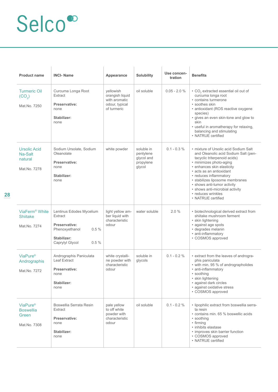| <b>Product name</b>                                               | <b>INCI-Name</b>                                                                                                         | Appearance                                                                     | <b>Solubility</b>                                            | Use concen-<br>tration | <b>Benefits</b>                                                                                                                                                                                                                                                                                                                                                               |
|-------------------------------------------------------------------|--------------------------------------------------------------------------------------------------------------------------|--------------------------------------------------------------------------------|--------------------------------------------------------------|------------------------|-------------------------------------------------------------------------------------------------------------------------------------------------------------------------------------------------------------------------------------------------------------------------------------------------------------------------------------------------------------------------------|
| <b>Turmeric Oil</b><br>(CO <sub>2</sub> )<br>Mat.No. 7250         | Curcuma Longa Root<br>Extract<br>Preservative:<br>none<br>Stabilizer:<br>none                                            | yellowish<br>orangish liquid<br>with aromatic<br>odour, typical<br>of turmeric | oil soluble                                                  | $0.05 - 2.0 %$         | • CO <sub>2</sub> extracted essential oil out of<br>curcuma longa root<br>• contains turmerone<br>• soothes skin<br>· antioxidant (ROS reactive oxygene<br>species)<br>· gives an even skin-tone and glow to<br>skin<br>• useful in aromatherapy for relaxing,<br>balancing and stimulating<br>• NATRUE certified                                                             |
| <b>Ursolic Acid</b><br>Na-Salt<br>natural<br>Mat.No. 7278         | Sodium Ursolate, Sodium<br>Oleanolate<br>Preservative:<br>none<br>Stabilizer:<br>none                                    | white powder                                                                   | soluble in<br>pentylene<br>glycol and<br>propylene<br>glycol | $0.1 - 0.3 \%$         | • mixture of Ursolic acid Sodium Salt<br>and Oleanolic acid Sodium Salt (pen-<br>tacyclic triterpenoid acids)<br>· minimizes photo-aging<br>· enhances skin elasticity<br>· acts as an antioxidant<br>• reduces inflammatory<br>· stabilizes liposome membranes<br>• shows anti-tumor activity<br>• shows anti-microbial activity<br>• reduces wrinkles<br>• NATRUE certified |
| ViaFerm <sup>®</sup> White<br><b>Shiitake</b><br>Mat.No. 7274     | Lentinus Edodes Mycelium<br>Extract<br>Preservative:<br>Phenoxyethanol<br>0.5%<br>Stabilizer:<br>0.5%<br>Caprylyl Glycol | light yellow am-<br>ber liquid with<br>characteristic<br>odour                 | water soluble                                                | 2.0%                   | • biotechnological derived extract from<br>shiitake mushroom ferment<br>• skin lightening<br>· against age spots<br>· degrades melanin<br>· anti-inflammatory<br>• COSMOS approved                                                                                                                                                                                            |
| ViaPure <sup>®</sup><br>Andrographis<br>Mat.No. 7272              | Andrographis Paniculata<br><b>Leaf Extract</b><br>Preservative:<br>none<br>Stabilizer:<br>none                           | white crystalli-<br>ne powder with<br>characteristic<br>odour                  | soluble in<br>glycols                                        | $0.1 - 0.2 \%$         | • extract from the leaves of androgra-<br>phis paniculata<br>• with min. 95 % of andrographolides<br>· anti-inflammatory<br>• soothing<br>• skin lightening<br>• against dark circles<br>• against oxidative stress<br>• COSMOS approved                                                                                                                                      |
| ViaPure <sup>®</sup><br><b>Boswellia</b><br>Green<br>Mat.No. 7308 | Boswellia Serrata Resin<br>Extract<br>Preservative:<br>none<br>Stabilizer:<br>none                                       | pale yellow<br>to off white<br>powder with<br>characteristic<br>odour          | oil soluble                                                  | $0.1 - 0.2 \%$         | · lipophilic extract from boswellia serra-<br>ta resin<br>• contains min. 65 % boswellic acids<br>• soothing<br>• firming<br>• inhibits elastase<br>• improves skin barrier function<br>• COSMOS approved<br>• NATRUE certified                                                                                                                                               |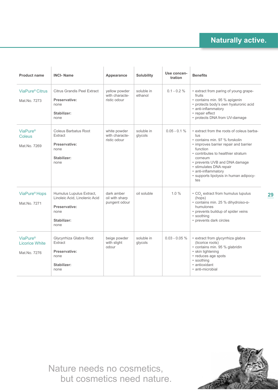| <b>Product name</b>                                      | <b>INCI-Name</b>                                                                                          | Appearance                                      | <b>Solubility</b>     | Use concen-<br>tration | <b>Benefits</b>                                                                                                                                                                                                                                                                                                              |
|----------------------------------------------------------|-----------------------------------------------------------------------------------------------------------|-------------------------------------------------|-----------------------|------------------------|------------------------------------------------------------------------------------------------------------------------------------------------------------------------------------------------------------------------------------------------------------------------------------------------------------------------------|
| ViaPure <sup>®</sup> Citrus<br>Mat.No. 7273              | <b>Citrus Grandis Peel Extract</b><br>Preservative:<br>none<br>Stabilizer:<br>none                        | yellow powder<br>with characte-<br>ristic odour | soluble in<br>ethanol | $0.1 - 0.2 \%$         | • extract from paring of young grape-<br>fruits<br>• contains min. 95 % apigenin<br>· protects body's own hyaluronic acid<br>· anti-inflammatory<br>• repair effect<br>• protects DNA from UV-damage                                                                                                                         |
| <b>ViaPure®</b><br>Coleus<br>Mat.No. 7269                | Coleus Barbatus Root<br>Extract<br>Preservative:<br>none<br>Stabilizer:<br>none                           | white powder<br>with characte-<br>ristic odour  | soluble in<br>glycols | $0.05 - 0.1 %$         | • extract from the roots of coleus barba-<br>tus<br>• contains min. 97 % forskolin<br>• improves barrier repair and barrier<br>function<br>• contributes to healthier stratum<br>corneum<br>• prevents UVB and DNA damage<br>· stimulates DNA repair<br>• anti-inflammatory<br>· supports lipolysis in human adipocy-<br>tes |
| ViaPure <sup>®</sup> Hops<br>Mat.No. 7271                | Humulus Lupulus Extract,<br>Linoleic Acid, Linolenic Acid<br>Preservative:<br>none<br>Stabilizer:<br>none | dark amber<br>oil with sharp<br>pungent odour   | oil soluble           | $1.0 \%$               | • CO <sub>2</sub> extract from humulus lupulus<br>(hops)<br>• contains min. 25 % dihydroiso-α-<br>humulones<br>• prevents buildup of spider veins<br>· soothing<br>• prevents dark circles                                                                                                                                   |
| <b>ViaPure®</b><br><b>Licorice White</b><br>Mat.No. 7276 | Glycyrrhiza Glabra Root<br>Extract<br>Preservative:<br>none<br>Stabilizer:<br>none                        | beige powder<br>with slight<br>odour            | soluble in<br>glycols | $0.03 - 0.05 %$        | · extract from glycyrrhiza glabra<br>(licorice roots)<br>· contains min. 95 % glabridin<br>• skin lightening<br>• reduces age spots<br>• soothing<br>• antioxidant<br>• anti-microbial                                                                                                                                       |

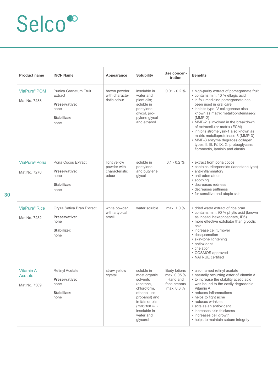| <b>Product name</b>                         | <b>INCI-Name</b>                                                                               | Appearance                                             | Solubility                                                                                                                                                                         | Use concen-<br>tration                                               | <b>Benefits</b>                                                                                                                                                                                                                                                                                                                                                                                                                                                                                                         |
|---------------------------------------------|------------------------------------------------------------------------------------------------|--------------------------------------------------------|------------------------------------------------------------------------------------------------------------------------------------------------------------------------------------|----------------------------------------------------------------------|-------------------------------------------------------------------------------------------------------------------------------------------------------------------------------------------------------------------------------------------------------------------------------------------------------------------------------------------------------------------------------------------------------------------------------------------------------------------------------------------------------------------------|
| ViaPure <sup>®</sup> POM<br>Mat.No. 7288    | <b>Punica Granatum Fruit</b><br><b>Extract</b><br>Preservative:<br>none<br>Stabilizer:<br>none | brown powder<br>with characte-<br>ristic odour         | insoluble in<br>water and<br>plant oils;<br>soluble in<br>pentylene<br>glycol, pro-<br>pylene glycol<br>and ethanol                                                                | $0.01 - 0.2 \%$                                                      | • high-purity extract of pomegranate fruit<br>· contains min. 40 % ellagic acid<br>• in folk medicine pomegranate has<br>been used in oral care<br>• inhibits type IV collagenase also<br>known as matrix metalloproteinase-2<br>$(MMP-2)$<br>• MMP-2 is involved in the breakdown<br>of extracellular matrix (ECM)<br>• inhibits stromelysin-1 also known as<br>matrix metalloproteinase-3 (MMP-3)<br>· MMP-3 enzyme degrades collagen<br>types II, III, IV, IX, X, proteoglycans,<br>fibronectin, laminin and elastin |
| ViaPure <sup>®</sup> Poria<br>Mat.No. 7270  | Poria Cocos Extract<br>Preservative:<br>none<br>Stabilizer:<br>none                            | light yellow<br>powder with<br>characteristic<br>odour | soluble in<br>pentylene<br>and butylene<br>glycol                                                                                                                                  | $0.1 - 0.2 \%$                                                       | • extract from poria cocos<br>• contains triterpenoids (lanostane type)<br>• anti-inflammatory<br>• anti-edematous<br>• soothing<br>• decreases redness<br>• decreases puffiness<br>• for sensitive and atopic skin                                                                                                                                                                                                                                                                                                     |
| ViaPure <sup>®</sup> Rice<br>Mat.No. 7282   | Oryza Sativa Bran Extract<br>Preservative:<br>none<br>Stabilizer:<br>none                      | white powder<br>with a typical<br>smell                | water soluble                                                                                                                                                                      | max. 1.0 %                                                           | • dried water extract of rice bran<br>• contains min. 90 % phytic acid (known<br>as inositol hexaphosphate, IP6)<br>• more effective exfoliator than glycolic<br>acid<br>• increase cell turnover<br>• desquamation<br>• skin-tone lightening<br>· antioxidant<br>• chelation<br>• COSMOS approved<br>• NATRUE certified                                                                                                                                                                                                |
| <b>Vitamin A</b><br>Acetate<br>Mat.No. 7309 | Retinyl Acetate<br><b>Preservative:</b><br>none<br>Stabilizer:<br>none                         | straw yellow<br>crystal                                | soluble in<br>most organic<br>solvents<br>(acetone,<br>chloroform,<br>ethanol, iso-<br>propanol) and<br>in fats or oils<br>(750g/100 mL);<br>insoluble in<br>water and<br>glycerol | Body lotions<br>max. 0.05 %<br>Hand and<br>face creams<br>max. 0.3 % | · also named retinyl acetate<br>• naturally occurring ester of Vitamin A<br>• to increase the stability acetic acid<br>was bound to the easily degradable<br>Vitamin A<br>• reduces inflammations<br>• helps to fight acne<br>• reduces wrinkles<br>• acts as an antioxidant<br>• increases skin thickness<br>• increases cell growth<br>• helps to maintain sebum integrity                                                                                                                                            |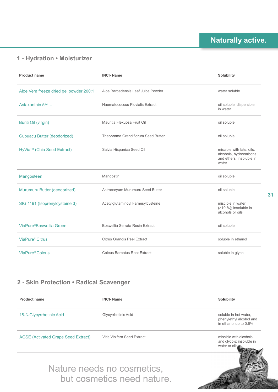### **1 - Hydration • Moisturizer**

| <b>Product name</b>                     | <b>INCI-Name</b>                   | Solubility                                                                               |
|-----------------------------------------|------------------------------------|------------------------------------------------------------------------------------------|
| Aloe Vera freeze dried gel powder 200:1 | Aloe Barbadensis Leaf Juice Powder | water soluble                                                                            |
| Astaxanthin 5% I                        | Haematococcus Pluvialis Extract    | oil soluble, dispersible<br>in water                                                     |
| <b>Buriti Oil (virgin)</b>              | Mauritia Flexuosa Fruit Oil        | oil soluble                                                                              |
| <b>Cupuacu Butter (deodorized)</b>      | Theobrama Grandiflorum Seed Butter | oil soluble                                                                              |
| HyVia <sup>™</sup> (Chia Seed Extract)  | Salvia Hispanica Seed Oil          | miscible with fats, oils,<br>alcohols, hydrocarbons<br>and ethers; insoluble in<br>water |
| Mangosteen                              | Mangostin                          | oil soluble                                                                              |
| Murumuru Butter (deodorized)            | Astrocaryum Murumuru Seed Butter   | oil soluble                                                                              |
| SIG 1191 (Isoprenylcysteine 3)          | Acetylglutaminoyl Farnesylcysteine | miscible in water<br>$($ >10 %); insoluble in<br>alcohols or oils                        |
| ViaPure <sup>®</sup> Boswellia Green    | Boswellia Serrata Resin Extract    | oil soluble                                                                              |
| ViaPure <sup>®</sup> Citrus             | Citrus Grandis Peel Extract        | soluble in ethanol                                                                       |
| ViaPure <sup>®</sup> Coleus             | Coleus Barbatus Root Extract       | soluble in glycol                                                                        |

#### **2 - Skin Protection • Radical Scavenger**

| <b>Product name</b>                        | <b>INCI-Name</b>            | Solubility                                                                |
|--------------------------------------------|-----------------------------|---------------------------------------------------------------------------|
| 18-ß-Glycyrrhetinic Acid                   | Glycyrrhetinic Acid         | soluble in hot water,<br>phenylethyl alcohol and<br>in ethanol up to 0.6% |
| <b>AGSE (Activated Grape Seed Extract)</b> | Vitis Vinifera Seed Extract | miscible with alcohols<br>and glycols; insoluble in<br>water or oils      |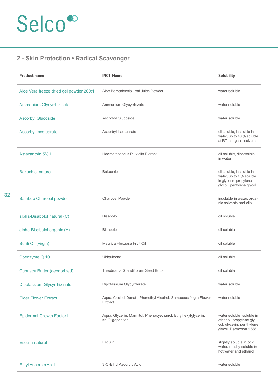**32**

### **2 - Skin Protection • Radical Scavenger**

| <b>Product name</b>                     | <b>INCI-Name</b>                                                                   | Solubility                                                                                                  |
|-----------------------------------------|------------------------------------------------------------------------------------|-------------------------------------------------------------------------------------------------------------|
| Aloe Vera freeze dried gel powder 200:1 | Aloe Barbadensis Leaf Juice Powder                                                 | water soluble                                                                                               |
| Ammonium Glycyrrhizinate                | Ammonium Glycyrrhizate                                                             | water soluble                                                                                               |
| <b>Ascorbyl Glucoside</b>               | Ascorbyl Glucoside                                                                 | water soluble                                                                                               |
| <b>Ascorbyl Isostearate</b>             | Ascorbyl Isostearate                                                               | oil soluble, insoluble in<br>water, up to 10 % soluble<br>at RT in organic solvents                         |
| Astaxanthin 5% L                        | Haematococcus Pluvialis Extract                                                    | oil soluble, dispersible<br>in water                                                                        |
| <b>Bakuchiol natural</b>                | <b>Bakuchiol</b>                                                                   | oil soluble, insoluble in<br>water, up to 1 % soluble<br>in glycerin, propylene<br>glycol, pentylene glycol |
| <b>Bamboo Charcoal powder</b>           | <b>Charcoal Powder</b>                                                             | insoluble in water, orga-<br>nic solvents and oils                                                          |
| alpha-Bisabolol natural (C)             | Bisabolol                                                                          | oil soluble                                                                                                 |
| alpha-Bisabolol organic (A)             | Bisabolol                                                                          | oil soluble                                                                                                 |
| Buriti Oil (virgin)                     | Mauritia Flexuosa Fruit Oil                                                        | oil soluble                                                                                                 |
| Coenzyme Q 10                           | Ubiquinone                                                                         | oil soluble                                                                                                 |
| <b>Cupuacu Butter (deodorized)</b>      | Theobrama Grandiflorum Seed Butter                                                 | oil soluble                                                                                                 |
| Dipotassium Glycyrrhizinate             | Dipotassium Glycyrrhizate                                                          | water soluble                                                                                               |
| <b>Flder Flower Extract</b>             | Aqua, Alcohol Denat., Phenethyl Alcohol, Sambucus Nigra Flower<br>Extract          | water soluble                                                                                               |
| <b>Epidermal Growth Factor L</b>        | Aqua, Glycerin, Mannitol, Phenoxyethanol, Ethylhexylglycerin,<br>sh-Oligopeptide-1 | water soluble, soluble in<br>ethanol, propylene gly-<br>col, glycerin, penthylene<br>glycol, Dermosoft 1388 |
| <b>Esculin natural</b>                  | Esculin                                                                            | slightly soluble in cold<br>water, readily soluble in<br>hot water and ethanol                              |
| <b>Ethyl Ascorbic Acid</b>              | 3-O-Ethyl Ascorbic Acid                                                            | water soluble                                                                                               |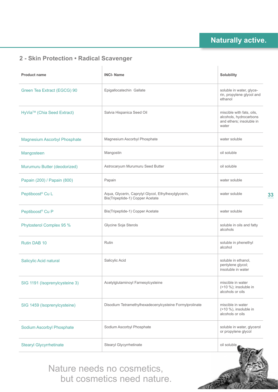### **2 - Skin Protection • Radical Scavenger**

| <b>Product name</b>                    | <b>INCI-Name</b>                                                                         | Solubility                                                                               |
|----------------------------------------|------------------------------------------------------------------------------------------|------------------------------------------------------------------------------------------|
| Green Tea Extract (EGCG) 90            | Epigallocatechin Gallate                                                                 | soluble in water, glyce-<br>rin, propylene glycol and<br>ethanol                         |
| HyVia <sup>™</sup> (Chia Seed Extract) | Salvia Hispanica Seed Oil                                                                | miscible with fats, oils,<br>alcohols, hydrocarbons<br>and ethers; insoluble in<br>water |
| <b>Magnesium Ascorbyl Phosphate</b>    | Magnesium Ascorbyl Phosphate                                                             | water soluble                                                                            |
| Mangosteen                             | Mangostin                                                                                | oil soluble                                                                              |
| Murumuru Butter (deodorized)           | Astrocaryum Murumuru Seed Butter                                                         | oil soluble                                                                              |
| Papain (200) / Papain (800)            | Papain                                                                                   | water soluble                                                                            |
| Peptiboost <sup>®</sup> Cu L           | Aqua, Glycerin, Caprylyl Glycol, Ethylhexylglycerin,<br>Bis(Tripeptide-1) Copper Acetate | water soluble                                                                            |
| Peptiboost <sup>®</sup> Cu P           | Bis(Tripeptide-1) Copper Acetate                                                         | water soluble                                                                            |
| Phytosterol Complex 95 %               | Glycine Soja Sterols                                                                     | soluble in oils and fatty<br>alcohols                                                    |
| Rutin DAB 10                           | <b>Rutin</b>                                                                             | soluble in phenethyl<br>alcohol                                                          |
| <b>Salicylic Acid natural</b>          | Salicylic Acid                                                                           | soluble in ethanol,<br>pentylene glycol;<br>insoluble in water                           |
| SIG 1191 (Isoprenylcysteine 3)         | Acetylglutaminoyl Farnesylcysteine                                                       | miscible in water<br>$($ >10 %); insoluble in<br>alcohols or oils                        |
| SIG 1459 (Isoprenylcysteine)           | Disodium Tetramethylhexadecenylcysteine Formylprolinate                                  | miscible in water<br>$($ >10 %), insoluble in<br>alcohols or oils                        |
| <b>Sodium Ascorbyl Phosphate</b>       | Sodium Ascorbyl Phosphate                                                                | soluble in water, glycerol<br>or propylene glycol                                        |
| <b>Stearyl Glycyrrhetinate</b>         | Stearyl Glycyrrhetinate                                                                  | oil soluble                                                                              |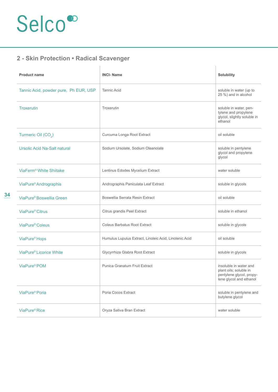### **2 - Skin Protection • Radical Scavenger**

| <b>Product name</b>                   | <b>INCI-Name</b>                                       | Solubility                                                                                              |
|---------------------------------------|--------------------------------------------------------|---------------------------------------------------------------------------------------------------------|
| Tannic Acid, powder pure, Ph EUR, USP | <b>Tannic Acid</b>                                     | soluble in water (up to<br>25 %) and in alcohol                                                         |
| <b>Troxerutin</b>                     | Troxerutin                                             | soluble in water, pen-<br>tylene and propylene<br>glycol, slightly soluble in<br>ethanol                |
| Turmeric Oil (CO <sub>2</sub> )       | Curcuma Longa Root Extract                             | oil soluble                                                                                             |
| <b>Ursolic Acid Na-Salt natural</b>   | Sodium Ursolate, Sodium Oleanolate                     | soluble in pentylene<br>glycol and propylene<br>glycol                                                  |
| ViaFerm <sup>®</sup> White Shiitake   | Lentinus Edodes Mycelium Extract                       | water soluble                                                                                           |
| ViaPure <sup>®</sup> Andrographis     | Andrographis Paniculata Leaf Extract                   | soluble in glycols                                                                                      |
| ViaPure® Boswellia Green              | Boswellia Serrata Resin Extract                        | oil soluble                                                                                             |
| ViaPure <sup>®</sup> Citrus           | Citrus grandis Peel Extract                            | soluble in ethanol                                                                                      |
| ViaPure <sup>®</sup> Coleus           | <b>Coleus Barbatus Root Extract</b>                    | soluble in glycols                                                                                      |
| ViaPure <sup>®</sup> Hops             | Humulus Lupulus Extract, Linoleic Acid, Linolenic Acid | oil soluble                                                                                             |
| ViaPure® Licorice White               | Glycyrrhiza Glabra Root Extract                        | soluble in glycols                                                                                      |
| ViaPure <sup>®</sup> POM              | Punica Granatum Fruit Extract                          | insoluble in water and<br>plant oils; soluble in<br>pentylene glycol, propy-<br>lene glycol and ethanol |
| ViaPure <sup>®</sup> Poria            | Poria Cocos Extract                                    | soluble in pentylene and<br>butylene glycol                                                             |
| ViaPure <sup>®</sup> Rice             | Oryza Sativa Bran Extract                              | water soluble                                                                                           |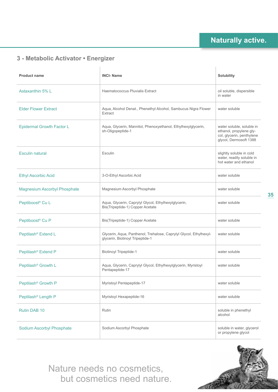### **3 - Metabolic Activator • Energizer**

| <b>Product name</b>                 | <b>INCI-Name</b>                                                                                       | <b>Solubility</b>                                                                                           |
|-------------------------------------|--------------------------------------------------------------------------------------------------------|-------------------------------------------------------------------------------------------------------------|
| Astaxanthin 5% L                    | Haematococcus Pluvialis Extract                                                                        | oil soluble, dispersible<br>in water                                                                        |
| <b>Elder Flower Extract</b>         | Aqua, Alcohol Denat., Phenethyl Alcohol, Sambucus Nigra Flower<br>Extract                              | water soluble                                                                                               |
| <b>Epidermal Growth Factor L</b>    | Aqua, Glycerin, Mannitol, Phenoxyethanol, Ethylhexylglycerin,<br>sh-Oligopeptide-1                     | water soluble, soluble in<br>ethanol, propylene gly-<br>col, glycerin, penthylene<br>glycol, Dermosoft 1388 |
| <b>Esculin natural</b>              | Esculin                                                                                                | slightly soluble in cold<br>water, readily soluble in<br>hot water and ethanol                              |
| <b>Ethyl Ascorbic Acid</b>          | 3-O-Ethyl Ascorbic Acid                                                                                | water soluble                                                                                               |
| <b>Magnesium Ascorbyl Phosphate</b> | Magnesium Ascorbyl Phosphate                                                                           | water soluble                                                                                               |
| Peptiboost <sup>®</sup> Cu L        | Aqua, Glycerin, Caprylyl Glycol, Ethylhexylglycerin,<br>Bis(Tripeptide-1) Copper Acetate               | water soluble                                                                                               |
| Peptiboost <sup>®</sup> Cu P        | Bis(Tripeptide-1) Copper Acetate                                                                       | water soluble                                                                                               |
| Peptilash <sup>®</sup> Extend L     | Glycerin, Aqua, Panthenol, Trehalose, Caprylyl Glycol, Ethylhexyl-<br>glycerin, Biotinoyl Tripeptide-1 | water soluble                                                                                               |
| Peptilash <sup>®</sup> Extend P     | <b>Biotinoyl Tripeptide-1</b>                                                                          | water soluble                                                                                               |
| Peptilash <sup>®</sup> Growth L     | Aqua, Glycerin, Caprylyl Glycol, Ethylhexylglycerin, Myristoyl<br>Pentapeptide-17                      | water soluble                                                                                               |
| Peptilash <sup>®</sup> Growth P     | <b>Myristoyl Pentapeptide-17</b>                                                                       | water soluble                                                                                               |
| Peptilash <sup>®</sup> Length P     | Myristoyl Hexapeptide-16                                                                               | water soluble                                                                                               |
| Rutin DAB 10                        | Rutin                                                                                                  | soluble in phenethyl<br>alcohol                                                                             |
| <b>Sodium Ascorbyl Phosphate</b>    | Sodium Ascorbyl Phosphate                                                                              | soluble in water, glycerol<br>or propylene glycol                                                           |





**35**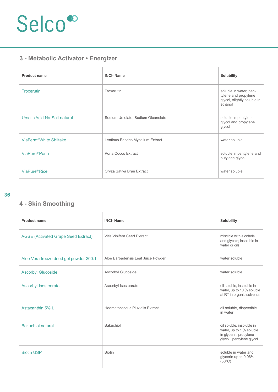### **3 - Metabolic Activator • Energizer**

| <b>Product name</b>                 | <b>INCI-Name</b>                   | Solubility                                                                               |
|-------------------------------------|------------------------------------|------------------------------------------------------------------------------------------|
| <b>Troxerutin</b>                   | Troxerutin                         | soluble in water, pen-<br>tylene and propylene<br>glycol, slightly soluble in<br>ethanol |
| Ursolic Acid Na-Salt natural        | Sodium Ursolate, Sodium Oleanolate | soluble in pentylene<br>glycol and propylene<br>glycol                                   |
| ViaFerm <sup>®</sup> White Shiitake | Lentinus Edodes Mycelium Extract   | water soluble                                                                            |
| ViaPure® Poria                      | Poria Cocos Extract                | soluble in pentylene and<br>butylene glycol                                              |
| ViaPure <sup>®</sup> Rice           | Oryza Sativa Bran Extract          | water soluble                                                                            |

### **4 - Skin Smoothing**

| <b>Product name</b>                        | <b>INCI-Name</b>                   | Solubility                                                                                                  |
|--------------------------------------------|------------------------------------|-------------------------------------------------------------------------------------------------------------|
| <b>AGSE (Activated Grape Seed Extract)</b> | Vitis Vinifera Seed Extract        | miscible with alcohols<br>and glycols; insoluble in<br>water or oils                                        |
| Aloe Vera freeze dried gel powder 200:1    | Aloe Barbadensis Leaf Juice Powder | water soluble                                                                                               |
| <b>Ascorbyl Glucoside</b>                  | Ascorbyl Glucoside                 | water soluble                                                                                               |
| <b>Ascorbyl Isostearate</b>                | Ascorbyl Isostearate               | oil soluble, insoluble in<br>water, up to 10 % soluble<br>at RT in organic solvents                         |
| Astaxanthin 5% L                           | Haematococcus Pluvialis Extract    | oil soluble, dispersible<br>in water                                                                        |
| <b>Bakuchiol natural</b>                   | Bakuchiol                          | oil soluble, insoluble in<br>water, up to 1 % soluble<br>in glycerin, propylene<br>glycol, pentylene glycol |
| <b>Biotin USP</b>                          | <b>Biotin</b>                      | soluble in water and<br>glycerin up to 0.06%<br>$(50^{\circ}C)$                                             |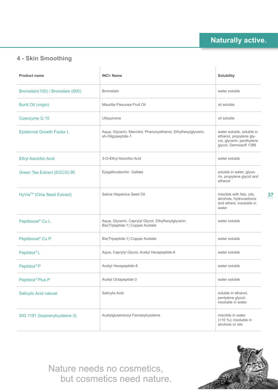### **4 - Skin Smoothing**

| <b>Product name</b>              | <b>INCI-Name</b>                                                                         | Solubility                                                                                                  |
|----------------------------------|------------------------------------------------------------------------------------------|-------------------------------------------------------------------------------------------------------------|
| Bromelain(100) / Bromelain (600) | <b>Bromelain</b>                                                                         | water soluble                                                                                               |
| Buriti Oil (virgin)              | Mauritia Flexuosa Fruit Oil                                                              | oil soluble                                                                                                 |
| Coenzyme Q 10                    | Ubiquinone                                                                               | oil soluble                                                                                                 |
| <b>Epidermal Growth Factor L</b> | Aqua, Glycerin, Mannitol, Phenoxyethanol, Ethylhexylglycerin,<br>sh-Oligopeptide-1       | water soluble, soluble in<br>ethanol, propylene gly-<br>col, glycerin, penthylene<br>glycol, Dermosoft 1388 |
| <b>Ethyl Ascorbic Acid</b>       | 3-O-Ethyl Ascorbic Acid                                                                  | water soluble                                                                                               |
| Green Tea Extract (EGCG) 90      | Epigallocatechin Gallate                                                                 | soluble in water, glyce-<br>rin, propylene glycol and<br>ethanol                                            |
| HyVia™ (Chia Seed Extract)       | Salvia Hispanica Seed Oil                                                                | miscible with fats, oils,<br>alcohols, hydrocarbons<br>and ethers; insoluble in<br>water                    |
| Peptiboost <sup>®</sup> Cu L     | Aqua, Glycerin, Caprylyl Glycol, Ethylhexylglycerin,<br>Bis(Tripeptide-1) Copper Acetate | water soluble                                                                                               |
| Peptiboost <sup>®</sup> Cu P     | Bis(Tripeptide-1) Copper Acetate                                                         | water soluble                                                                                               |
| <b>Peptidox®L</b>                | Aqua, Caprylyl Glycol, Acetyl Hexapeptide-8                                              | water soluble                                                                                               |
| Peptidox <sup>®</sup> P          | Acetyl Hexapeptide-8                                                                     | water soluble                                                                                               |
| Peptidox <sup>®</sup> Plus P     | Acetyl Octapeptide-3                                                                     | water soluble                                                                                               |
| <b>Salicylic Acid natural</b>    | Salicylic Acid                                                                           | soluble in ethanol,<br>pentylene glycol;<br>insoluble in water                                              |
| SIG 1191 (Isoprenylcysteine 3)   | Acetylglutaminoyl Farnesylcysteine                                                       | miscible in water<br>$($ >10 %); insoluble in<br>alcohols or oils                                           |

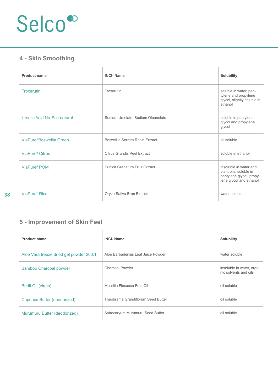### **4 - Skin Smoothing**

| <b>Product name</b>                  | <b>INCI-Name</b>                   | Solubility                                                                                              |
|--------------------------------------|------------------------------------|---------------------------------------------------------------------------------------------------------|
| <b>Troxerutin</b>                    | Troxerutin                         | soluble in water, pen-<br>tylene and propylene<br>glycol, slightly soluble in<br>ethanol                |
| Ursolic Acid Na-Salt natural         | Sodium Ursolate, Sodium Oleanolate | soluble in pentylene<br>glycol and propylene<br>glycol                                                  |
| ViaPure <sup>®</sup> Boswellia Green | Boswellia Serrata Resin Extract    | oil soluble                                                                                             |
| ViaPure <sup>®</sup> Citrus          | Citrus Grandis Peel Extract        | soluble in ethanol                                                                                      |
| ViaPure® POM                         | Punica Granatum Fruit Extract      | insoluble in water and<br>plant oils; soluble in<br>pentylene glycol, propy-<br>lene glycol and ethanol |
| ViaPure® Rice                        | Oryza Sativa Bran Extract          | water soluble                                                                                           |

#### **5 - Improvement of Skin Feel**

| <b>Product name</b>                     | <b>INCI-Name</b>                   | <b>Solubility</b>                                  |
|-----------------------------------------|------------------------------------|----------------------------------------------------|
| Aloe Vera freeze dried gel powder 200:1 | Aloe Barbadensis Leaf Juice Powder | water soluble                                      |
| <b>Bamboo Charcoal powder</b>           | Charcoal Powder                    | insoluble in water, orga-<br>nic solvents and oils |
| Buriti Oil (virgin)                     | Mauritia Flexuosa Fruit Oil        | oil soluble                                        |
| Cupuacu Butter (deodorized)             | Theobrama Grandiflorum Seed Butter | oil soluble                                        |
| Murumuru Butter (deodorized)            | Astrocaryum Murumuru Seed Butter   | oil soluble                                        |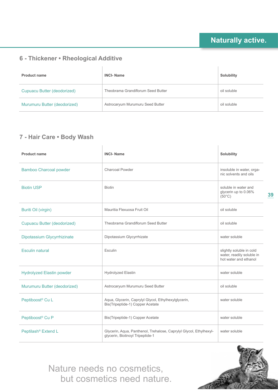### **6 - Thickener • Rheological Additive**

| <b>Product name</b>          | <b>INCI-Name</b>                   | <b>Solubility</b> |
|------------------------------|------------------------------------|-------------------|
| Cupuacu Butter (deodorized)  | Theobrama Grandiflorum Seed Butter | oil soluble       |
| Murumuru Butter (deodorized) | Astrocaryum Murumuru Seed Butter   | oil soluble       |

### **7 - Hair Care • Body Wash**

| <b>Product name</b>              | <b>INCI-Name</b>                                                                                       | Solubility                                                                     |
|----------------------------------|--------------------------------------------------------------------------------------------------------|--------------------------------------------------------------------------------|
| <b>Bamboo Charcoal powder</b>    | Charcoal Powder                                                                                        | insoluble in water, orga-<br>nic solvents and oils                             |
| <b>Biotin USP</b>                | <b>Biotin</b>                                                                                          | soluble in water and<br>glycerin up to 0.06%<br>$(50^{\circ}C)$                |
| Buriti Oil (virgin)              | Mauritia Flexuosa Fruit Oil                                                                            | oil soluble                                                                    |
| Cupuacu Butter (deodorized)      | Theobrama Grandiflorum Seed Butter                                                                     | oil soluble                                                                    |
| Dipotassium Glycyrrhizinate      | Dipotassium Glycyrrhizate                                                                              | water soluble                                                                  |
| <b>Esculin natural</b>           | Esculin                                                                                                | slightly soluble in cold<br>water, readily soluble in<br>hot water and ethanol |
| <b>Hydrolyzed Elastin powder</b> | <b>Hydrolyzed Elastin</b>                                                                              | water soluble                                                                  |
| Murumuru Butter (deodorized)     | Astrocaryum Murumuru Seed Butter                                                                       | oil soluble                                                                    |
| Peptiboost <sup>®</sup> Cu L     | Aqua, Glycerin, Caprylyl Glycol, Ethylhexylglycerin,<br>Bis(Tripeptide-1) Copper Acetate               | water soluble                                                                  |
| Peptiboost <sup>®</sup> Cu P     | Bis(Tripeptide-1) Copper Acetate                                                                       | water soluble                                                                  |
| Peptilash <sup>®</sup> Extend L  | Glycerin, Aqua, Panthenol, Trehalose, Caprylyl Glycol, Ethylhexyl-<br>glycerin, Biotinoyl Tripeptide-1 | water soluble                                                                  |

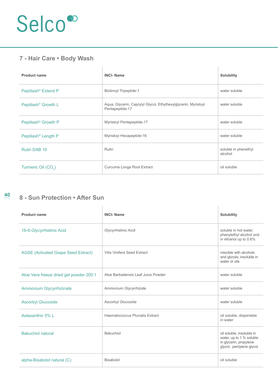### **7 - Hair Care • Body Wash**

| <b>Product name</b>             | <b>INCI-Name</b>                                                                  | <b>Solubility</b>               |
|---------------------------------|-----------------------------------------------------------------------------------|---------------------------------|
| Peptilash <sup>®</sup> Extend P | <b>Biotinoyl Tripeptide-1</b>                                                     | water soluble                   |
| Peptilash <sup>®</sup> Growth L | Aqua, Glycerin, Caprylyl Glycol, Ethylhexylglycerin, Myristoyl<br>Pentapeptide-17 | water soluble                   |
| Peptilash <sup>®</sup> Growth P | <b>Myristoyl Pentapeptide-17</b>                                                  | water soluble                   |
| Peptilash <sup>®</sup> Length P | Myristoyl Hexapeptide-16                                                          | water soluble                   |
| Rutin DAB 10                    | Rutin                                                                             | soluble in phenethyl<br>alcohol |
| Turmeric Oil (CO <sub>2</sub> ) | Curcuma Longa Root Extract                                                        | oil soluble                     |

### **8 - Sun Protection • After Sun**

| <b>Product name</b>                        | <b>INCI-Name</b>                   | <b>Solubility</b>                                                                                           |
|--------------------------------------------|------------------------------------|-------------------------------------------------------------------------------------------------------------|
| 18-ß-Glycyrrhetinic Acid                   | Glycyrrhetinic Acid                | soluble in hot water,<br>phenylethyl alcohol and<br>in ethanol up to 0.6%                                   |
| <b>AGSE (Activated Grape Seed Extract)</b> | Vitis Vinifera Seed Extract        | miscible with alcohols<br>and glycols; insoluble in<br>water or oils                                        |
| Aloe Vera freeze dried gel powder 200:1    | Aloe Barbadensis Leaf Juice Powder | water soluble                                                                                               |
| <b>Ammonium Glycyrrhizinate</b>            | Ammonium Glycyrrhizate             | water soluble                                                                                               |
| <b>Ascorbyl Glucoside</b>                  | Ascorbyl Glucoside                 | water soluble                                                                                               |
| Astaxanthin 5% I                           | Haematococcus Pluvialis Extract    | oil soluble, dispersible<br>in water                                                                        |
| <b>Bakuchiol natural</b>                   | Bakuchiol                          | oil soluble, insoluble in<br>water, up to 1 % soluble<br>in glycerin, propylene<br>glycol, pentylene glycol |
| alpha-Bisabolol natural (C)                | Bisabolol                          | oil soluble                                                                                                 |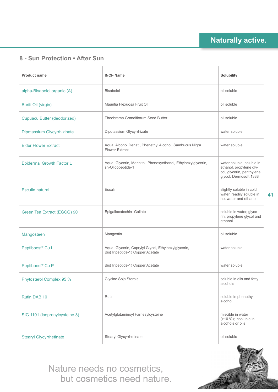**41**

### **8 - Sun Protection • After Sun**

| <b>Product name</b>              | <b>INCI-Name</b>                                                                         | Solubility                                                                                                  |
|----------------------------------|------------------------------------------------------------------------------------------|-------------------------------------------------------------------------------------------------------------|
| alpha-Bisabolol organic (A)      | Bisabolol                                                                                | oil soluble                                                                                                 |
| Buriti Oil (virgin)              | Mauritia Flexuosa Fruit Oil                                                              | oil soluble                                                                                                 |
| Cupuacu Butter (deodorized)      | Theobrama Grandiflorum Seed Butter                                                       | oil soluble                                                                                                 |
| Dipotassium Glycyrrhizinate      | Dipotassium Glycyrrhizate                                                                | water soluble                                                                                               |
| <b>Elder Flower Extract</b>      | Aqua, Alcohol Denat., Phenethyl Alcohol, Sambucus Nigra<br><b>Flower Extract</b>         | water soluble                                                                                               |
| <b>Epidermal Growth Factor L</b> | Aqua, Glycerin, Mannitol, Phenoxyethanol, Ethylhexylglycerin,<br>sh-Oligopeptide-1       | water soluble, soluble in<br>ethanol, propylene gly-<br>col, glycerin, penthylene<br>glycol, Dermosoft 1388 |
| <b>Esculin natural</b>           | Esculin                                                                                  | slightly soluble in cold<br>water, readily soluble in<br>hot water and ethanol                              |
| Green Tea Extract (EGCG) 90      | Epigallocatechin Gallate                                                                 | soluble in water, glyce-<br>rin, propylene glycol and<br>ethanol                                            |
| Mangosteen                       | Mangostin                                                                                | oil soluble                                                                                                 |
| Peptiboost <sup>®</sup> Cu L     | Aqua, Glycerin, Caprylyl Glycol, Ethylhexylglycerin,<br>Bis(Tripeptide-1) Copper Acetate | water soluble                                                                                               |
| Peptiboost <sup>®</sup> Cu P     | Bis(Tripeptide-1) Copper Acetate                                                         | water soluble                                                                                               |
| Phytosterol Complex 95 %         | Glycine Soja Sterols                                                                     | soluble in oils and fatty<br>alcohols                                                                       |
| Rutin DAB 10                     | Rutin                                                                                    | soluble in phenethyl<br>alcohol                                                                             |
| SIG 1191 (Isoprenylcysteine 3)   | Acetylglutaminoyl Farnesylcysteine                                                       | miscible in water<br>$($ >10 %); insoluble in<br>alcohols or oils                                           |
| <b>Stearyl Glycyrrhetinate</b>   | Stearyl Glycyrrhetinate                                                                  | oil soluble                                                                                                 |

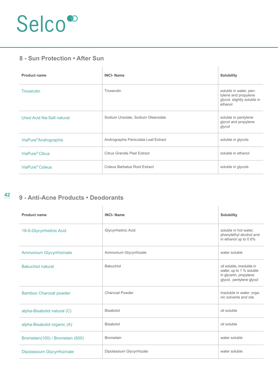#### **8 - Sun Protection • After Sun**

| <b>Product name</b>               | <b>INCI-Name</b>                     | <b>Solubility</b>                                                                        |
|-----------------------------------|--------------------------------------|------------------------------------------------------------------------------------------|
| <b>Troxerutin</b>                 | Troxerutin                           | soluble in water, pen-<br>tylene and propylene<br>glycol, slightly soluble in<br>ethanol |
| Ursol Acid Na-Salt natural        | Sodium Ursolate, Sodium Oleanolate   | soluble in pentylene<br>glycol and propylene<br>glycol                                   |
| ViaPure <sup>®</sup> Andrographis | Andrographis Paniculata Leaf Extract | soluble in glycols                                                                       |
| ViaPure <sup>®</sup> Citrus       | Citrus Grandis Peel Extract          | soluble in ethanol                                                                       |
| ViaPure <sup>®</sup> Coleus       | Coleus Barbatus Root Extract         | soluble in glycols                                                                       |

### **9 - Anti-Acne Products • Deodorants**

| <b>Product name</b>              | <b>INCI-Name</b>          | <b>Solubility</b>                                                                                           |
|----------------------------------|---------------------------|-------------------------------------------------------------------------------------------------------------|
| 18-ß-Glycyrrhetinic Acid         | Glycyrrhetinic Acid       | soluble in hot water,<br>phenylethyl alcohol and<br>in ethanol up to 0.6%                                   |
| Ammonium Glycyrrhizinate         | Ammonium Glycyrrhizate    | water soluble                                                                                               |
| <b>Bakuchiol natural</b>         | Bakuchiol                 | oil soluble, insoluble in<br>water, up to 1 % soluble<br>in glycerin, propylene<br>glycol, pentylene glycol |
| <b>Bamboo Charcoal powder</b>    | Charcoal Powder           | insoluble in water, orga-<br>nic solvents and oils                                                          |
| alpha-Bisabolol natural (C)      | Bisabolol                 | oil soluble                                                                                                 |
| alpha-Bisabolol organic (A)      | Bisabolol                 | oil soluble                                                                                                 |
| Bromelain(100) / Bromelain (600) | <b>Bromelain</b>          | water soluble                                                                                               |
| Dipotassium Glycyrrhizinate      | Dipotassium Glycyrrhizate | water soluble                                                                                               |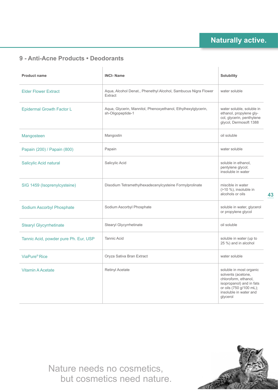#### **9 - Anti-Acne Products • Deodorants**

| <b>Product name</b>                   | <b>INCI-Name</b>                                                                   | <b>Solubility</b>                                                                                                                                                  |
|---------------------------------------|------------------------------------------------------------------------------------|--------------------------------------------------------------------------------------------------------------------------------------------------------------------|
| <b>Elder Flower Extract</b>           | Aqua, Alcohol Denat., Phenethyl Alcohol, Sambucus Nigra Flower<br>Extract          | water soluble                                                                                                                                                      |
| <b>Epidermal Growth Factor L</b>      | Aqua, Glycerin, Mannitol, Phenoxyethanol, Ethylhexylglycerin,<br>sh-Oligopeptide-1 | water soluble, soluble in<br>ethanol, propylene gly-<br>col, glycerin, penthylene<br>glycol, Dermosoft 1388                                                        |
| Mangosteen                            | Mangostin                                                                          | oil soluble                                                                                                                                                        |
| Papain (200) / Papain (800)           | Papain                                                                             | water soluble                                                                                                                                                      |
| Salicylic Acid natural                | Salicylic Acid                                                                     | soluble in ethanol,<br>pentylene glycol;<br>insoluble in water                                                                                                     |
| SIG 1459 (Isoprenylcysteine)          | Disodium Tetramethylhexadecenylcysteine Formylprolinate                            | miscible in water<br>$($ >10 %), insoluble in<br>alcohols or oils                                                                                                  |
| <b>Sodium Ascorbyl Phosphate</b>      | Sodium Ascorbyl Phosphate                                                          | soluble in water, glycerol<br>or propylene glycol                                                                                                                  |
| <b>Stearyl Glycyrrhetinate</b>        | Stearyl Glycyrrhetinate                                                            | oil soluble                                                                                                                                                        |
| Tannic Acid, powder pure Ph. Eur, USP | <b>Tannic Acid</b>                                                                 | soluble in water (up to<br>25 %) and in alcohol                                                                                                                    |
| ViaPure <sup>®</sup> Rice             | Oryza Sativa Bran Extract                                                          | water soluble                                                                                                                                                      |
| <b>Vitamin A Acetate</b>              | <b>Retinyl Acetate</b>                                                             | soluble in most organic<br>solvents (acetone,<br>chloroform, ethanol,<br>isopropanol) and in fats<br>or oils (750 g/100 mL);<br>insoluble in water and<br>glycerol |

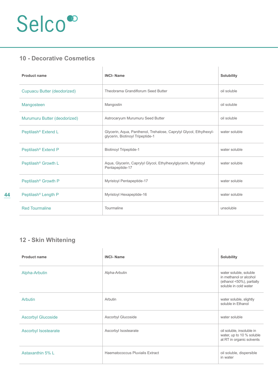### **10 - Decorative Cosmetics**

| <b>Product name</b>             | <b>INCI-Name</b>                                                                                       | <b>Solubility</b> |
|---------------------------------|--------------------------------------------------------------------------------------------------------|-------------------|
| Cupuacu Butter (deodorized)     | Theobrama Grandiflorum Seed Butter                                                                     | oil soluble       |
| Mangosteen                      | Mangostin                                                                                              | oil soluble       |
| Murumuru Butter (deodorized)    | Astrocaryum Murumuru Seed Butter                                                                       | oil soluble       |
| Peptilash <sup>®</sup> Extend L | Glycerin, Aqua, Panthenol, Trehalose, Caprylyl Glycol, Ethylhexyl-<br>glycerin, Biotinoyl Tripeptide-1 | water soluble     |
| Peptilash <sup>®</sup> Extend P | <b>Biotinoyl Tripeptide-1</b>                                                                          | water soluble     |
| Peptilash <sup>®</sup> Growth L | Aqua, Glycerin, Caprylyl Glycol, Ethylhexylglycerin, Myristoyl<br>Pentapeptide-17                      | water soluble     |
| Peptilash <sup>®</sup> Growth P | <b>Myristoyl Pentapeptide-17</b>                                                                       | water soluble     |
| Peptilash <sup>®</sup> Length P | Myristoyl Hexapeptide-16                                                                               | water soluble     |
| <b>Red Tourmaline</b>           | Tourmaline                                                                                             | unsoluble         |

### **12 - Skin Whitening**

| <b>Product name</b>         | <b>INCI-Name</b>                | <b>Solubility</b>                                                                                      |
|-----------------------------|---------------------------------|--------------------------------------------------------------------------------------------------------|
| Alpha-Arbutin               | Alpha-Arbutin                   | water soluble, soluble<br>in methanol or alcohol<br>(ethanol <50%), partially<br>soluble in cold water |
| Arbutin                     | Arbutin                         | water soluble, slightly<br>soluble in Ethanol                                                          |
| <b>Ascorbyl Glucoside</b>   | Ascorbyl Glucoside              | water soluble                                                                                          |
| <b>Ascorbyl Isostearate</b> | Ascorbyl Isostearate            | oil soluble, insoluble in<br>water, up to 10 % soluble<br>at RT in organic solvents                    |
| Astaxanthin 5% L            | Haematococcus Pluvialis Extract | oil soluble, dispersible<br>in water                                                                   |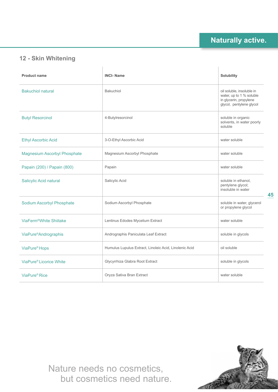

### **12 - Skin Whitening**

| <b>Product name</b>                 | <b>INCI-Name</b>                                       | Solubility                                                                                                  |
|-------------------------------------|--------------------------------------------------------|-------------------------------------------------------------------------------------------------------------|
| <b>Bakuchiol natural</b>            | Bakuchiol                                              | oil soluble, insoluble in<br>water, up to 1 % soluble<br>in glycerin, propylene<br>glycol, pentylene glycol |
| <b>Butyl Resorcinol</b>             | 4-Butylresorcinol                                      | soluble in organic<br>solvents, in water poorly<br>soluble                                                  |
| <b>Ethyl Ascorbic Acid</b>          | 3-O-Ethyl Ascorbic Acid                                | water soluble                                                                                               |
| <b>Magnesium Ascorbyl Phosphate</b> | Magnesium Ascorbyl Phosphate                           | water soluble                                                                                               |
| Papain (200) / Papain (800)         | Papain                                                 | water soluble                                                                                               |
| Salicylic Acid natural              | Salicylic Acid                                         | soluble in ethanol.<br>pentylene glycol;<br>insoluble in water                                              |
| <b>Sodium Ascorbyl Phosphate</b>    | Sodium Ascorbyl Phosphate                              | soluble in water, glycerol<br>or propylene glycol                                                           |
| ViaFerm <sup>®</sup> White Shiitake | Lentinus Edodes Mycelium Extract                       | water soluble                                                                                               |
| ViaPure <sup>®</sup> Andrographis   | Andrographis Paniculata Leaf Extract                   | soluble in glycols                                                                                          |
| ViaPure <sup>®</sup> Hops           | Humulus Lupulus Extract, Linoleic Acid, Linolenic Acid | oil soluble                                                                                                 |
| ViaPure® Licorice White             | Glycyrrhiza Glabra Root Extract                        | soluble in glycols                                                                                          |
| ViaPure® Rice                       | Oryza Sativa Bran Extract                              | water soluble                                                                                               |

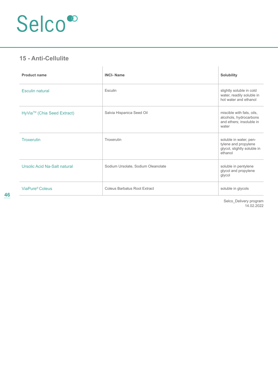#### **15 - Anti-Cellulite**

| <b>Product name</b>                    | <b>INCI-Name</b>                   | Solubility                                                                               |
|----------------------------------------|------------------------------------|------------------------------------------------------------------------------------------|
| <b>Esculin natural</b>                 | Esculin                            | slightly soluble in cold<br>water, readily soluble in<br>hot water and ethanol           |
| HyVia <sup>™</sup> (Chia Seed Extract) | Salvia Hispanica Seed Oil          | miscible with fats, oils,<br>alcohols, hydrocarbons<br>and ethers; insoluble in<br>water |
| <b>Troxerutin</b>                      | Troxerutin                         | soluble in water, pen-<br>tylene and propylene<br>glycol, slightly soluble in<br>ethanol |
| Ursolic Acid Na-Salt natural           | Sodium Ursolate, Sodium Oleanolate | soluble in pentylene<br>glycol and propylene<br>glycol                                   |
| ViaPure <sup>®</sup> Coleus            | Coleus Barbatus Root Extract       | soluble in glycols                                                                       |
|                                        |                                    | Salco Dalivary program                                                                   |

Selco\_Delivery program 14.02.2022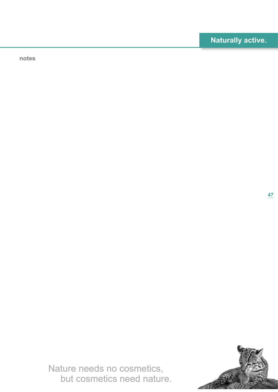**notes**